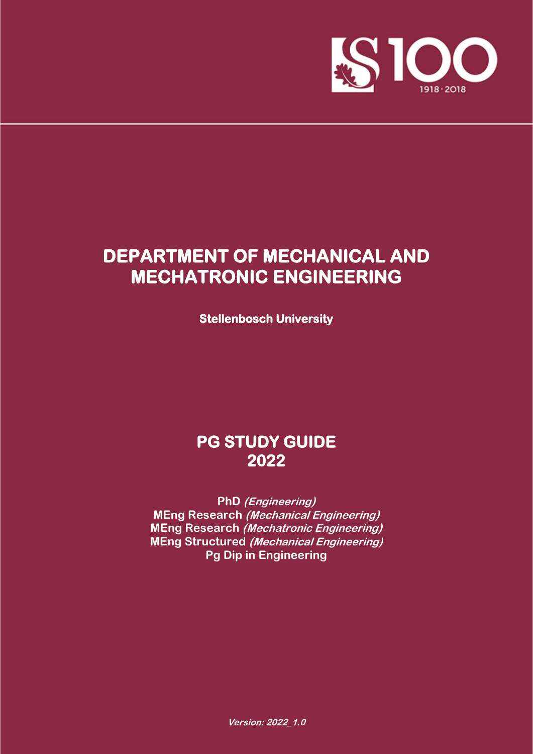

# **DEPARTMENT OF MECHANICAL AND MECHATRONIC ENGINEERING**

**Stellenbosch University**

# **PG STUDY GUIDE 2022**

**PhD (Engineering) MEng Research (Mechanical Engineering) MEng Research (Mechatronic Engineering) MEng Structured (Mechanical Engineering) Pg Dip in Engineering**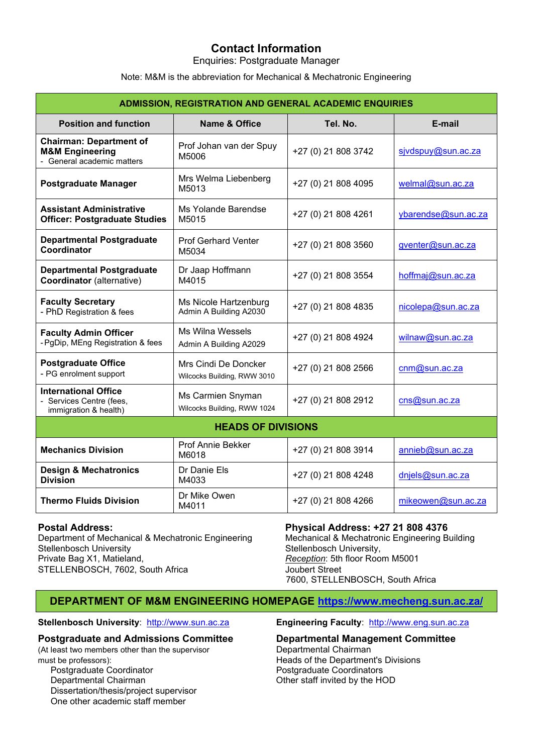# **Contact Information**

Enquiries: Postgraduate Manager

Note: M&M is the abbreviation for Mechanical & Mechatronic Engineering

| <b>ADMISSION, REGISTRATION AND GENERAL ACADEMIC ENQUIRIES</b>                              |                                                     |                     |                     |  |  |
|--------------------------------------------------------------------------------------------|-----------------------------------------------------|---------------------|---------------------|--|--|
| <b>Position and function</b>                                                               | <b>Name &amp; Office</b>                            | Tel. No.            | E-mail              |  |  |
| <b>Chairman: Department of</b><br><b>M&amp;M Engineering</b><br>- General academic matters | Prof Johan van der Spuy<br>M5006                    | +27 (0) 21 808 3742 | sjvdspuy@sun.ac.za  |  |  |
| <b>Postgraduate Manager</b>                                                                | Mrs Welma Liebenberg<br>M5013                       | +27 (0) 21 808 4095 | welmal@sun.ac.za    |  |  |
| <b>Assistant Administrative</b><br><b>Officer: Postgraduate Studies</b>                    | Ms Yolande Barendse<br>M5015                        | +27 (0) 21 808 4261 | ybarendse@sun.ac.za |  |  |
| <b>Departmental Postgraduate</b><br>Coordinator                                            | <b>Prof Gerhard Venter</b><br>M5034                 | +27 (0) 21 808 3560 | gventer@sun.ac.za   |  |  |
| <b>Departmental Postgraduate</b><br><b>Coordinator</b> (alternative)                       | Dr Jaap Hoffmann<br>M4015                           | +27 (0) 21 808 3554 | hoffmaj@sun.ac.za   |  |  |
| <b>Faculty Secretary</b><br>- PhD Registration & fees                                      | Ms Nicole Hartzenburg<br>Admin A Building A2030     | +27 (0) 21 808 4835 | nicolepa@sun.ac.za  |  |  |
| <b>Faculty Admin Officer</b><br>- PgDip, MEng Registration & fees                          | <b>Ms Wilna Wessels</b><br>Admin A Building A2029   | +27 (0) 21 808 4924 | wilnaw@sun.ac.za    |  |  |
| <b>Postgraduate Office</b><br>- PG enrolment support                                       | Mrs Cindi De Doncker<br>Wilcocks Building, RWW 3010 | +27 (0) 21 808 2566 | cnm@sun.ac.za       |  |  |
| <b>International Office</b><br>Services Centre (fees,<br>immigration & health)             | Ms Carmien Snyman<br>Wilcocks Building, RWW 1024    | +27 (0) 21 808 2912 | cns@sun.ac.za       |  |  |
|                                                                                            | <b>HEADS OF DIVISIONS</b>                           |                     |                     |  |  |
| <b>Mechanics Division</b>                                                                  | Prof Annie Bekker<br>M6018                          | +27 (0) 21 808 3914 | annieb@sun.ac.za    |  |  |
| <b>Design &amp; Mechatronics</b><br>Dr Danie Els<br><b>Division</b><br>M4033               |                                                     | +27 (0) 21 808 4248 | dnjels@sun.ac.za    |  |  |
| Dr Mike Owen<br><b>Thermo Fluids Division</b><br>M4011                                     |                                                     | +27 (0) 21 808 4266 | mikeowen@sun.ac.za  |  |  |

**Postal Address:**<br>Department of Mechanical & Mechatronic Engineering<br>Mechanical & Mechatronic Engineering Building Department of Mechanical & Mechatronic Engineering<br>Stellenbosch University Private Bag X1, Matieland, *Reception*: 5th floor Room M5001 STELLENBOSCH, 7602, South Africa Joubert Street

Stellenbosch University, 7600, STELLENBOSCH, South Africa

# **DEPARTMENT OF M&M ENGINEERING HOMEPAGE [https://www.mecheng.sun.ac.za/](http://mecheng.sun.ac.za/)**

#### **Stellenbosch University**: [http://www.sun.ac.za](http://www.sun.ac.za/) **Engineering Faculty**: [http://www.eng.sun.ac.za](http://www.eng.sun.ac.za/)

(At least two members other than the supervisor

Postgraduate Coordinator **Postgraduate Coordinator**<br>
Departmental Chairman **Postgraduate Coordinators**<br>
Other staff invited by the H Dissertation/thesis/project supervisor One other academic staff member

# **Postgraduate and Admissions Committee Departmental Management Committee**<br>(At least two members other than the supervisor Departmental Chairman

must be professors):  $\qquad \qquad$  Heads of the Department's Divisions<br>Postgraduate Coordinator  $\qquad \qquad$  Postgraduate Coordinators Other staff invited by the HOD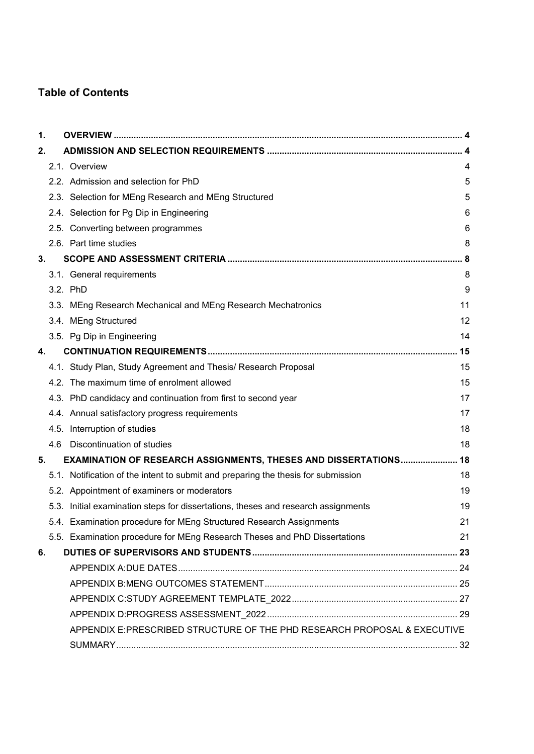# **Table of Contents**

| 1. |     |                                                                                   |     |
|----|-----|-----------------------------------------------------------------------------------|-----|
| 2. |     |                                                                                   |     |
|    |     | 2.1. Overview                                                                     | 4   |
|    |     | 2.2. Admission and selection for PhD                                              | 5   |
|    |     | 2.3. Selection for MEng Research and MEng Structured                              | 5   |
|    |     | 2.4. Selection for Pg Dip in Engineering                                          | 6   |
|    |     | 2.5. Converting between programmes                                                | 6   |
|    |     | 2.6. Part time studies                                                            | 8   |
| 3. |     |                                                                                   | . 8 |
|    |     | 3.1. General requirements                                                         | 8   |
|    |     | 3.2. PhD                                                                          | 9   |
|    |     | 3.3. MEng Research Mechanical and MEng Research Mechatronics                      | 11  |
|    |     | 3.4. MEng Structured                                                              | 12  |
|    |     | 3.5. Pg Dip in Engineering                                                        | 14  |
| 4. |     |                                                                                   | 15  |
|    |     | 4.1. Study Plan, Study Agreement and Thesis/ Research Proposal                    | 15  |
|    |     | 4.2. The maximum time of enrolment allowed                                        | 15  |
|    |     | 4.3. PhD candidacy and continuation from first to second year                     | 17  |
|    |     | 4.4. Annual satisfactory progress requirements                                    | 17  |
|    |     | 4.5. Interruption of studies                                                      | 18  |
|    | 4.6 | Discontinuation of studies                                                        | 18  |
| 5. |     | EXAMINATION OF RESEARCH ASSIGNMENTS, THESES AND DISSERTATIONS                     | 18  |
|    |     | 5.1. Notification of the intent to submit and preparing the thesis for submission | 18  |
|    |     | 5.2. Appointment of examiners or moderators                                       | 19  |
|    |     | 5.3. Initial examination steps for dissertations, theses and research assignments | 19  |
|    |     | 5.4. Examination procedure for MEng Structured Research Assignments               | 21  |
|    |     | 5.5. Examination procedure for MEng Research Theses and PhD Dissertations         | 21  |
| 6. |     |                                                                                   |     |
|    |     |                                                                                   |     |
|    |     |                                                                                   |     |
|    |     |                                                                                   |     |
|    |     |                                                                                   |     |
|    |     | APPENDIX E:PRESCRIBED STRUCTURE OF THE PHD RESEARCH PROPOSAL & EXECUTIVE          |     |
|    |     |                                                                                   |     |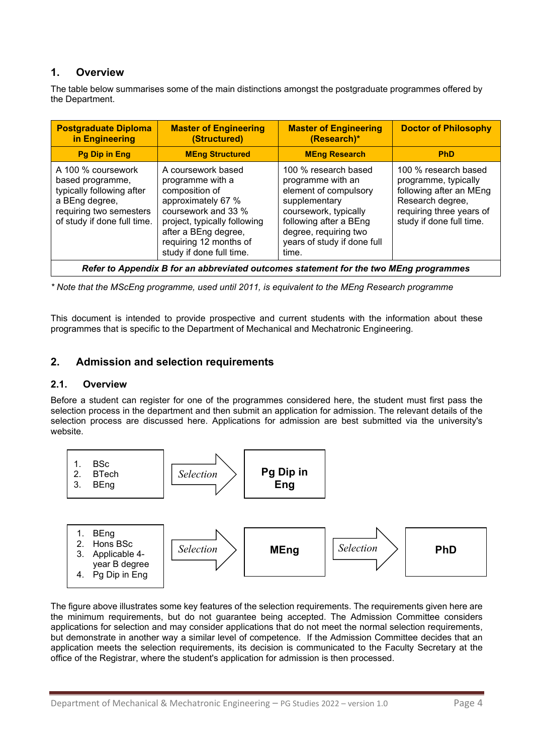# <span id="page-3-0"></span>**1. Overview**

The table below summarises some of the main distinctions amongst the postgraduate programmes offered by the Department.

| <b>Postgraduate Diploma</b><br>in Engineering                                                                                                   | <b>Master of Engineering</b><br>(Structured)                                                                                                                                                                        | <b>Master of Engineering</b><br>(Research)*                                                                                                                                                             | <b>Doctor of Philosophy</b>                                                                                                                         |  |  |  |
|-------------------------------------------------------------------------------------------------------------------------------------------------|---------------------------------------------------------------------------------------------------------------------------------------------------------------------------------------------------------------------|---------------------------------------------------------------------------------------------------------------------------------------------------------------------------------------------------------|-----------------------------------------------------------------------------------------------------------------------------------------------------|--|--|--|
| <b>Pg Dip in Eng</b>                                                                                                                            | <b>MEng Structured</b>                                                                                                                                                                                              | <b>MEng Research</b>                                                                                                                                                                                    | <b>PhD</b>                                                                                                                                          |  |  |  |
| A 100 % coursework<br>based programme,<br>typically following after<br>a BEng degree,<br>requiring two semesters<br>of study if done full time. | A coursework based<br>programme with a<br>composition of<br>approximately 67 %<br>coursework and 33 %<br>project, typically following<br>after a BEng degree,<br>requiring 12 months of<br>study if done full time. | 100 % research based<br>programme with an<br>element of compulsory<br>supplementary<br>coursework, typically<br>following after a BEng<br>degree, requiring two<br>years of study if done full<br>time. | 100 % research based<br>programme, typically<br>following after an MEng<br>Research degree,<br>requiring three years of<br>study if done full time. |  |  |  |
| Refer to Appendix B for an abbreviated outcomes statement for the two MEng programmes                                                           |                                                                                                                                                                                                                     |                                                                                                                                                                                                         |                                                                                                                                                     |  |  |  |

*\* Note that the MScEng programme, used until 2011, is equivalent to the MEng Research programme*

This document is intended to provide prospective and current students with the information about these programmes that is specific to the Department of Mechanical and Mechatronic Engineering.

### <span id="page-3-1"></span>**2. Admission and selection requirements**

#### <span id="page-3-2"></span>**2.1. Overview**

Before a student can register for one of the programmes considered here, the student must first pass the selection process in the department and then submit an application for admission. The relevant details of the selection process are discussed here. Applications for admission are best submitted via the university's website.



The figure above illustrates some key features of the selection requirements. The requirements given here are the minimum requirements, but do not guarantee being accepted. The Admission Committee considers applications for selection and may consider applications that do not meet the normal selection requirements, but demonstrate in another way a similar level of competence. If the Admission Committee decides that an application meets the selection requirements, its decision is communicated to the Faculty Secretary at the office of the Registrar, where the student's application for admission is then processed.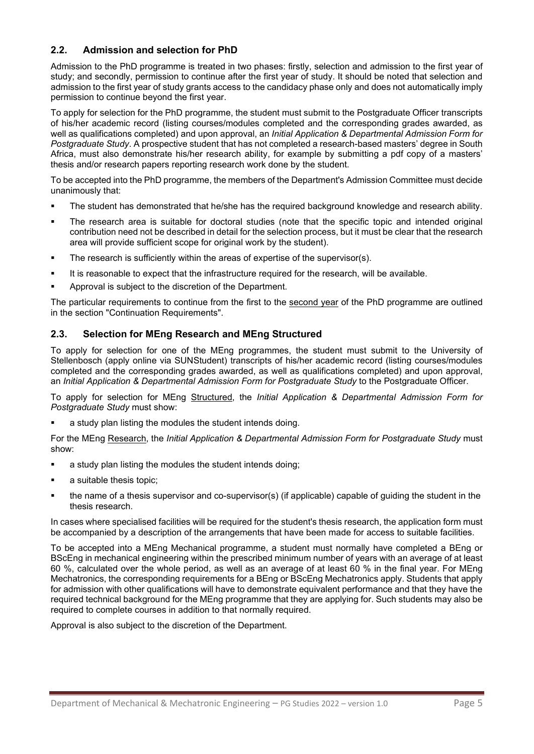# **2.2. Admission and selection for PhD**

<span id="page-4-0"></span>Admission to the PhD programme is treated in two phases: firstly, selection and admission to the first year of study; and secondly, permission to continue after the first year of study. It should be noted that selection and admission to the first year of study grants access to the candidacy phase only and does not automatically imply permission to continue beyond the first year.

To apply for selection for the PhD programme, the student must submit to the Postgraduate Officer transcripts of his/her academic record (listing courses/modules completed and the corresponding grades awarded, as well as qualifications completed) and upon approval, an *Initial Application & Departmental Admission Form for Postgraduate Study*. A prospective student that has not completed a research-based masters' degree in South Africa, must also demonstrate his/her research ability, for example by submitting a pdf copy of a masters' thesis and/or research papers reporting research work done by the student.

To be accepted into the PhD programme, the members of the Department's Admission Committee must decide unanimously that:

- The student has demonstrated that he/she has the required background knowledge and research ability.
- The research area is suitable for doctoral studies (note that the specific topic and intended original contribution need not be described in detail for the selection process, but it must be clear that the research area will provide sufficient scope for original work by the student).
- **The research is sufficiently within the areas of expertise of the supervisor(s).**
- It is reasonable to expect that the infrastructure required for the research, will be available.
- Approval is subject to the discretion of the Department.

The particular requirements to continue from the first to the second year of the PhD programme are outlined in the section "Continuation Requirements".

### <span id="page-4-1"></span>**2.3. Selection for MEng Research and MEng Structured**

To apply for selection for one of the MEng programmes, the student must submit to the University of Stellenbosch (apply online via SUNStudent) transcripts of his/her academic record (listing courses/modules completed and the corresponding grades awarded, as well as qualifications completed) and upon approval, an *Initial Application & Departmental Admission Form for Postgraduate Study* to the Postgraduate Officer.

To apply for selection for MEng Structured, the *Initial Application & Departmental Admission Form for Postgraduate Study* must show:

a study plan listing the modules the student intends doing.

For the MEng Research, the *Initial Application & Departmental Admission Form for Postgraduate Study* must show:

- **a** study plan listing the modules the student intends doing;
- a suitable thesis topic;
- the name of a thesis supervisor and co-supervisor(s) (if applicable) capable of guiding the student in the thesis research.

In cases where specialised facilities will be required for the student's thesis research, the application form must be accompanied by a description of the arrangements that have been made for access to suitable facilities.

To be accepted into a MEng Mechanical programme, a student must normally have completed a BEng or BScEng in mechanical engineering within the prescribed minimum number of years with an average of at least 60 %, calculated over the whole period, as well as an average of at least 60 % in the final year. For MEng Mechatronics, the corresponding requirements for a BEng or BScEng Mechatronics apply. Students that apply for admission with other qualifications will have to demonstrate equivalent performance and that they have the required technical background for the MEng programme that they are applying for. Such students may also be required to complete courses in addition to that normally required.

Approval is also subject to the discretion of the Department.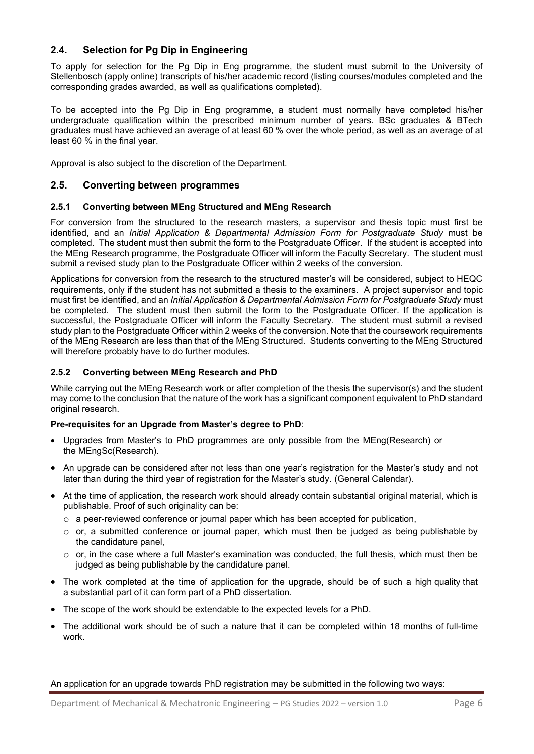# **2.4. Selection for Pg Dip in Engineering**

<span id="page-5-0"></span>To apply for selection for the Pg Dip in Eng programme, the student must submit to the University of Stellenbosch (apply online) transcripts of his/her academic record (listing courses/modules completed and the corresponding grades awarded, as well as qualifications completed).

To be accepted into the Pg Dip in Eng programme, a student must normally have completed his/her undergraduate qualification within the prescribed minimum number of years. BSc graduates & BTech graduates must have achieved an average of at least 60 % over the whole period, as well as an average of at least 60 % in the final year.

Approval is also subject to the discretion of the Department.

#### <span id="page-5-1"></span>**2.5. Converting between programmes**

#### **2.5.1 Converting between MEng Structured and MEng Research**

For conversion from the structured to the research masters, a supervisor and thesis topic must first be identified, and an *Initial Application & Departmental Admission Form for Postgraduate Study* must be completed. The student must then submit the form to the Postgraduate Officer. If the student is accepted into the MEng Research programme, the Postgraduate Officer will inform the Faculty Secretary. The student must submit a revised study plan to the Postgraduate Officer within 2 weeks of the conversion.

Applications for conversion from the research to the structured master's will be considered, subject to HEQC requirements, only if the student has not submitted a thesis to the examiners. A project supervisor and topic must first be identified, and an *Initial Application & Departmental Admission Form for Postgraduate Study* must be completed. The student must then submit the form to the Postgraduate Officer. If the application is successful, the Postgraduate Officer will inform the Faculty Secretary. The student must submit a revised study plan to the Postgraduate Officer within 2 weeks of the conversion. Note that the coursework requirements of the MEng Research are less than that of the MEng Structured. Students converting to the MEng Structured will therefore probably have to do further modules.

#### **2.5.2 Converting between MEng Research and PhD**

While carrying out the MEng Research work or after completion of the thesis the supervisor(s) and the student may come to the conclusion that the nature of the work has a significant component equivalent to PhD standard original research.

#### **Pre-requisites for an Upgrade from Master's degree to PhD**:

- Upgrades from Master's to PhD programmes are only possible from the MEng(Research) or the MEngSc(Research).
- An upgrade can be considered after not less than one year's registration for the Master's study and not later than during the third year of registration for the Master's study. (General Calendar).
- At the time of application, the research work should already contain substantial original material, which is publishable. Proof of such originality can be:
	- $\circ$  a peer-reviewed conference or journal paper which has been accepted for publication,
	- o or, a submitted conference or journal paper, which must then be judged as being publishable by the candidature panel,
	- o or, in the case where a full Master's examination was conducted, the full thesis, which must then be judged as being publishable by the candidature panel.
- The work completed at the time of application for the upgrade, should be of such a high quality that a substantial part of it can form part of a PhD dissertation.
- The scope of the work should be extendable to the expected levels for a PhD.
- The additional work should be of such a nature that it can be completed within 18 months of full-time work.

An application for an upgrade towards PhD registration may be submitted in the following two ways: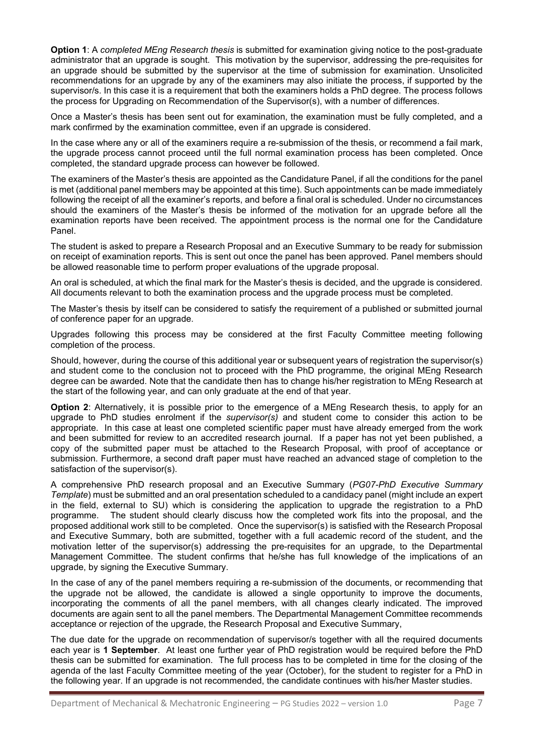**Option 1**: A *completed MEng Research thesis* is submitted for examination giving notice to the post-graduate administrator that an upgrade is sought. This motivation by the supervisor, addressing the pre-requisites for an upgrade should be submitted by the supervisor at the time of submission for examination. Unsolicited recommendations for an upgrade by any of the examiners may also initiate the process, if supported by the supervisor/s. In this case it is a requirement that both the examiners holds a PhD degree. The process follows the process for Upgrading on Recommendation of the Supervisor(s), with a number of differences.

Once a Master's thesis has been sent out for examination, the examination must be fully completed, and a mark confirmed by the examination committee, even if an upgrade is considered.

In the case where any or all of the examiners require a re-submission of the thesis, or recommend a fail mark, the upgrade process cannot proceed until the full normal examination process has been completed. Once completed, the standard upgrade process can however be followed.

The examiners of the Master's thesis are appointed as the Candidature Panel, if all the conditions for the panel is met (additional panel members may be appointed at this time). Such appointments can be made immediately following the receipt of all the examiner's reports, and before a final oral is scheduled. Under no circumstances should the examiners of the Master's thesis be informed of the motivation for an upgrade before all the examination reports have been received. The appointment process is the normal one for the Candidature Panel.

The student is asked to prepare a Research Proposal and an Executive Summary to be ready for submission on receipt of examination reports. This is sent out once the panel has been approved. Panel members should be allowed reasonable time to perform proper evaluations of the upgrade proposal.

An oral is scheduled, at which the final mark for the Master's thesis is decided, and the upgrade is considered. All documents relevant to both the examination process and the upgrade process must be completed.

The Master's thesis by itself can be considered to satisfy the requirement of a published or submitted journal of conference paper for an upgrade.

Upgrades following this process may be considered at the first Faculty Committee meeting following completion of the process.

Should, however, during the course of this additional year or subsequent years of registration the supervisor(s) and student come to the conclusion not to proceed with the PhD programme, the original MEng Research degree can be awarded. Note that the candidate then has to change his/her registration to MEng Research at the start of the following year, and can only graduate at the end of that year.

**Option 2**: Alternatively, it is possible prior to the emergence of a MEng Research thesis, to apply for an upgrade to PhD studies enrolment if the *supervisor(s)* and student come to consider this action to be appropriate. In this case at least one completed scientific paper must have already emerged from the work and been submitted for review to an accredited research journal. If a paper has not yet been published, a copy of the submitted paper must be attached to the Research Proposal, with proof of acceptance or submission. Furthermore, a second draft paper must have reached an advanced stage of completion to the satisfaction of the supervisor(s).

A comprehensive PhD research proposal and an Executive Summary (*PG07-PhD Executive Summary Template*) must be submitted and an oral presentation scheduled to a candidacy panel (might include an expert in the field, external to SU) which is considering the application to upgrade the registration to a PhD programme. The student should clearly discuss how the completed work fits into the proposal. and the The student should clearly discuss how the completed work fits into the proposal, and the proposed additional work still to be completed. Once the supervisor(s) is satisfied with the Research Proposal and Executive Summary, both are submitted, together with a full academic record of the student, and the motivation letter of the supervisor(s) addressing the pre-requisites for an upgrade, to the Departmental Management Committee. The student confirms that he/she has full knowledge of the implications of an upgrade, by signing the Executive Summary.

In the case of any of the panel members requiring a re-submission of the documents, or recommending that the upgrade not be allowed, the candidate is allowed a single opportunity to improve the documents, incorporating the comments of all the panel members, with all changes clearly indicated. The improved documents are again sent to all the panel members. The Departmental Management Committee recommends acceptance or rejection of the upgrade, the Research Proposal and Executive Summary,

The due date for the upgrade on recommendation of supervisor/s together with all the required documents each year is **1 September**. At least one further year of PhD registration would be required before the PhD thesis can be submitted for examination. The full process has to be completed in time for the closing of the agenda of the last Faculty Committee meeting of the year (October), for the student to register for a PhD in the following year. If an upgrade is not recommended, the candidate continues with his/her Master studies.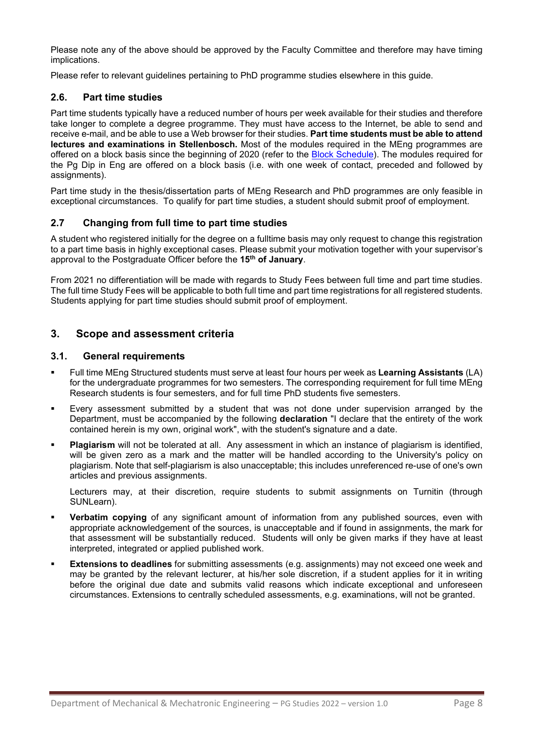Please note any of the above should be approved by the Faculty Committee and therefore may have timing implications.

Please refer to relevant guidelines pertaining to PhD programme studies elsewhere in this guide.

### <span id="page-7-0"></span>**2.6. Part time studies**

Part time students typically have a reduced number of hours per week available for their studies and therefore take longer to complete a degree programme. They must have access to the Internet, be able to send and receive e-mail, and be able to use a Web browser for their studies. **Part time students must be able to attend lectures and examinations in Stellenbosch.** Most of the modules required in the MEng programmes are offered on a block basis since the beginning of 2020 (refer to the **Block Schedule**). The modules required for the Pg Dip in Eng are offered on a block basis (i.e. with one week of contact, preceded and followed by assignments).

Part time study in the thesis/dissertation parts of MEng Research and PhD programmes are only feasible in exceptional circumstances. To qualify for part time studies, a student should submit proof of employment.

# **2.7 Changing from full time to part time studies**

A student who registered initially for the degree on a fulltime basis may only request to change this registration to a part time basis in highly exceptional cases. Please submit your motivation together with your supervisor's approval to the Postgraduate Officer before the **15th of January**.

From 2021 no differentiation will be made with regards to Study Fees between full time and part time studies. The full time Study Fees will be applicable to both full time and part time registrations for all registered students. Students applying for part time studies should submit proof of employment.

# <span id="page-7-1"></span>**3. Scope and assessment criteria**

#### <span id="page-7-2"></span>**3.1. General requirements**

- Full time MEng Structured students must serve at least four hours per week as **Learning Assistants** (LA) for the undergraduate programmes for two semesters. The corresponding requirement for full time MEng Research students is four semesters, and for full time PhD students five semesters.
- Every assessment submitted by a student that was not done under supervision arranged by the Department, must be accompanied by the following **declaration** "I declare that the entirety of the work contained herein is my own, original work", with the student's signature and a date.
- **Plagiarism** will not be tolerated at all. Any assessment in which an instance of plagiarism is identified, will be given zero as a mark and the matter will be handled according to the University's policy on plagiarism. Note that self-plagiarism is also unacceptable; this includes unreferenced re-use of one's own articles and previous assignments.

Lecturers may, at their discretion, require students to submit assignments on Turnitin (through SUNLearn).

- **Verbatim copying** of any significant amount of information from any published sources, even with appropriate acknowledgement of the sources, is unacceptable and if found in assignments, the mark for that assessment will be substantially reduced. Students will only be given marks if they have at least interpreted, integrated or applied published work.
- **Extensions to deadlines** for submitting assessments (e.g. assignments) may not exceed one week and may be granted by the relevant lecturer, at his/her sole discretion, if a student applies for it in writing before the original due date and submits valid reasons which indicate exceptional and unforeseen circumstances. Extensions to centrally scheduled assessments, e.g. examinations, will not be granted.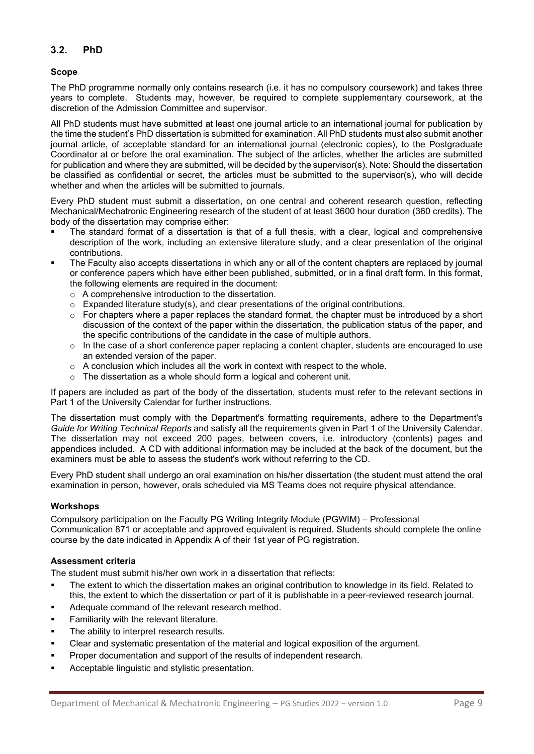# <span id="page-8-0"></span>**3.2. PhD**

#### <span id="page-8-1"></span>**Scope**

The PhD programme normally only contains research (i.e. it has no compulsory coursework) and takes three years to complete. Students may, however, be required to complete supplementary coursework, at the discretion of the Admission Committee and supervisor.

All PhD students must have submitted at least one journal article to an international journal for publication by the time the student's PhD dissertation is submitted for examination. All PhD students must also submit another journal article, of acceptable standard for an international journal (electronic copies), to the Postgraduate Coordinator at or before the oral examination. The subject of the articles, whether the articles are submitted for publication and where they are submitted, will be decided by the supervisor(s). Note: Should the dissertation be classified as confidential or secret, the articles must be submitted to the supervisor(s), who will decide whether and when the articles will be submitted to journals.

Every PhD student must submit a dissertation, on one central and coherent research question, reflecting Mechanical/Mechatronic Engineering research of the student of at least 3600 hour duration (360 credits). The body of the dissertation may comprise either:

- The standard format of a dissertation is that of a full thesis, with a clear, logical and comprehensive description of the work, including an extensive literature study, and a clear presentation of the original contributions.
- The Faculty also accepts dissertations in which any or all of the content chapters are replaced by journal or conference papers which have either been published, submitted, or in a final draft form. In this format, the following elements are required in the document:
	- o A comprehensive introduction to the dissertation.
	- $\circ$  Expanded literature study(s), and clear presentations of the original contributions.
	- $\circ$  For chapters where a paper replaces the standard format, the chapter must be introduced by a short discussion of the context of the paper within the dissertation, the publication status of the paper, and the specific contributions of the candidate in the case of multiple authors.
	- $\circ$  In the case of a short conference paper replacing a content chapter, students are encouraged to use an extended version of the paper.
	- $\circ$  A conclusion which includes all the work in context with respect to the whole.
	- o The dissertation as a whole should form a logical and coherent unit.

If papers are included as part of the body of the dissertation, students must refer to the relevant sections in Part 1 of the University Calendar for further instructions.

The dissertation must comply with the Department's formatting requirements, adhere to the Department's *Guide for Writing Technical Reports* and satisfy all the requirements given in Part 1 of the University Calendar. The dissertation may not exceed 200 pages, between covers, i.e. introductory (contents) pages and appendices included. A CD with additional information may be included at the back of the document, but the examiners must be able to assess the student's work without referring to the CD.

Every PhD student shall undergo an oral examination on his/her dissertation (the student must attend the oral examination in person, however, orals scheduled via MS Teams does not require physical attendance.

#### **Workshops**

Compulsory participation on the Faculty PG Writing Integrity Module (PGWIM) – Professional Communication 871 or acceptable and approved equivalent is required. Students should complete the online course by the date indicated in Appendix A of their 1st year of PG registration.

#### **Assessment criteria**

The student must submit his/her own work in a dissertation that reflects:

- The extent to which the dissertation makes an original contribution to knowledge in its field. Related to this, the extent to which the dissertation or part of it is publishable in a peer-reviewed research journal.
- Adequate command of the relevant research method.
- **Familiarity with the relevant literature.**
- The ability to interpret research results.
- Clear and systematic presentation of the material and logical exposition of the argument.
- **Proper documentation and support of the results of independent research.**
- Acceptable linguistic and stylistic presentation.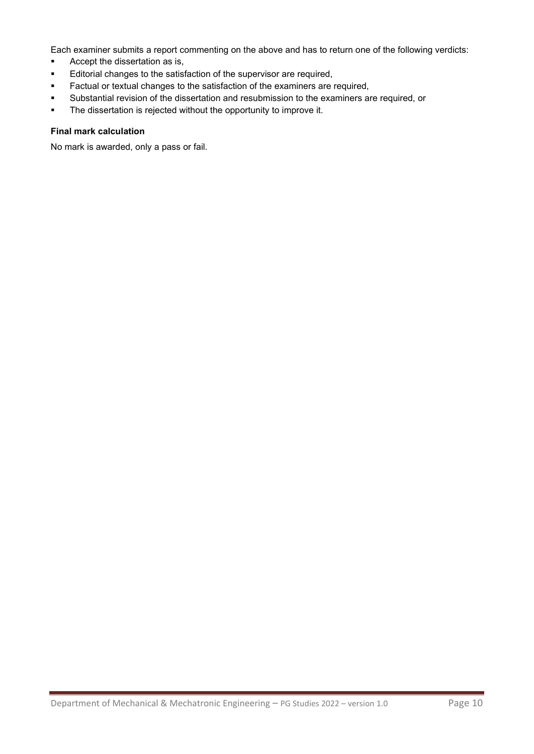Each examiner submits a report commenting on the above and has to return one of the following verdicts:

- **Accept the dissertation as is,**
- **Editorial changes to the satisfaction of the supervisor are required,**
- **Factual or textual changes to the satisfaction of the examiners are required,**
- Substantial revision of the dissertation and resubmission to the examiners are required, or
- **The dissertation is rejected without the opportunity to improve it.**

#### **Final mark calculation**

No mark is awarded, only a pass or fail.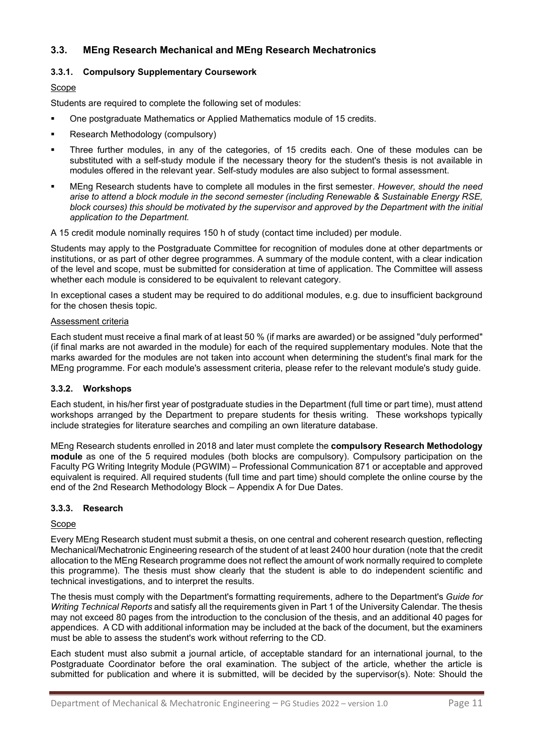# <span id="page-10-0"></span>**3.3. MEng Research Mechanical and MEng Research Mechatronics**

### **3.3.1. Compulsory Supplementary Coursework**

#### Scope

Students are required to complete the following set of modules:

- One postgraduate Mathematics or Applied Mathematics module of 15 credits.
- **Research Methodology (compulsory)**
- Three further modules, in any of the categories, of 15 credits each. One of these modules can be substituted with a self-study module if the necessary theory for the student's thesis is not available in modules offered in the relevant year. Self-study modules are also subject to formal assessment.
- MEng Research students have to complete all modules in the first semester. *However, should the need arise to attend a block module in the second semester (including Renewable & Sustainable Energy RSE, block courses) this should be motivated by the supervisor and approved by the Department with the initial application to the Department.*

A 15 credit module nominally requires 150 h of study (contact time included) per module.

Students may apply to the Postgraduate Committee for recognition of modules done at other departments or institutions, or as part of other degree programmes. A summary of the module content, with a clear indication of the level and scope, must be submitted for consideration at time of application. The Committee will assess whether each module is considered to be equivalent to relevant category.

In exceptional cases a student may be required to do additional modules, e.g. due to insufficient background for the chosen thesis topic.

#### Assessment criteria

Each student must receive a final mark of at least 50 % (if marks are awarded) or be assigned "duly performed" (if final marks are not awarded in the module) for each of the required supplementary modules. Note that the marks awarded for the modules are not taken into account when determining the student's final mark for the MEng programme. For each module's assessment criteria, please refer to the relevant module's study guide.

#### **3.3.2. Workshops**

Each student, in his/her first year of postgraduate studies in the Department (full time or part time), must attend workshops arranged by the Department to prepare students for thesis writing. These workshops typically include strategies for literature searches and compiling an own literature database.

MEng Research students enrolled in 2018 and later must complete the **compulsory Research Methodology module** as one of the 5 required modules (both blocks are compulsory). Compulsory participation on the Faculty PG Writing Integrity Module (PGWIM) – Professional Communication 871 or acceptable and approved equivalent is required. All required students (full time and part time) should complete the online course by the end of the 2nd Research Methodology Block – Appendix A for Due Dates.

#### **3.3.3. Research**

#### Scope

Every MEng Research student must submit a thesis, on one central and coherent research question, reflecting Mechanical/Mechatronic Engineering research of the student of at least 2400 hour duration (note that the credit allocation to the MEng Research programme does not reflect the amount of work normally required to complete this programme). The thesis must show clearly that the student is able to do independent scientific and technical investigations, and to interpret the results.

The thesis must comply with the Department's formatting requirements, adhere to the Department's *Guide for Writing Technical Reports* and satisfy all the requirements given in Part 1 of the University Calendar. The thesis may not exceed 80 pages from the introduction to the conclusion of the thesis, and an additional 40 pages for appendices. A CD with additional information may be included at the back of the document, but the examiners must be able to assess the student's work without referring to the CD.

Each student must also submit a journal article, of acceptable standard for an international journal, to the Postgraduate Coordinator before the oral examination. The subject of the article, whether the article is submitted for publication and where it is submitted, will be decided by the supervisor(s). Note: Should the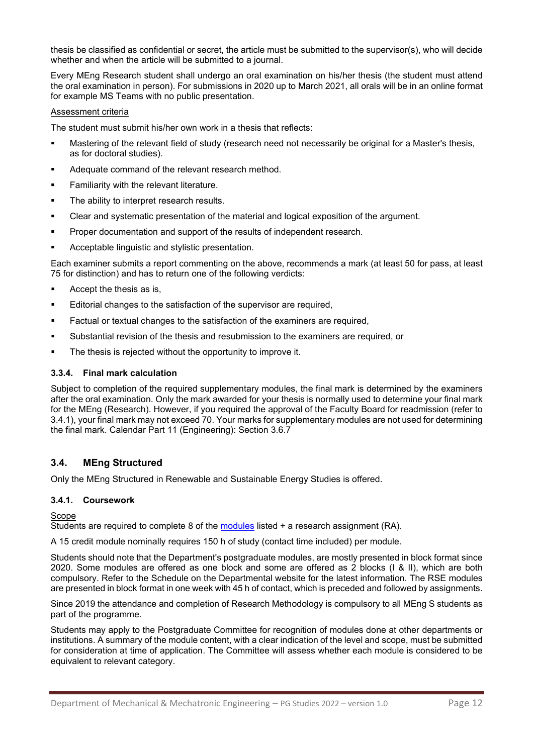thesis be classified as confidential or secret, the article must be submitted to the supervisor(s), who will decide whether and when the article will be submitted to a journal.

Every MEng Research student shall undergo an oral examination on his/her thesis (the student must attend the oral examination in person). For submissions in 2020 up to March 2021, all orals will be in an online format for example MS Teams with no public presentation.

#### Assessment criteria

The student must submit his/her own work in a thesis that reflects:

- Mastering of the relevant field of study (research need not necessarily be original for a Master's thesis, as for doctoral studies).
- Adequate command of the relevant research method.
- **Familiarity with the relevant literature.**
- The ability to interpret research results.
- Clear and systematic presentation of the material and logical exposition of the argument.
- Proper documentation and support of the results of independent research.
- Acceptable linguistic and stylistic presentation.

Each examiner submits a report commenting on the above, recommends a mark (at least 50 for pass, at least 75 for distinction) and has to return one of the following verdicts:

- Accept the thesis as is,
- **Editorial changes to the satisfaction of the supervisor are required,**
- Factual or textual changes to the satisfaction of the examiners are required,
- Substantial revision of the thesis and resubmission to the examiners are required, or
- The thesis is rejected without the opportunity to improve it.

#### **3.3.4. Final mark calculation**

Subject to completion of the required supplementary modules, the final mark is determined by the examiners after the oral examination. Only the mark awarded for your thesis is normally used to determine your final mark for the MEng (Research). However, if you required the approval of the Faculty Board for readmission (refer to 3.4.1), your final mark may not exceed 70. Your marks for supplementary modules are not used for determining the final mark. Calendar Part 11 (Engineering): Section 3.6.7

### <span id="page-11-0"></span>**3.4. MEng Structured**

Only the MEng Structured in Renewable and Sustainable Energy Studies is offered.

#### **3.4.1. Coursework**

#### Scope

Students are required to complete 8 of the [modules](https://www.mecheng.sun.ac.za/media/sites/10/Master-of-Engineering-Structured-in-Mechanical-Engineering_Programme-Outline_2022_20211207-002.pdf) listed + a research assignment (RA).

A 15 credit module nominally requires 150 h of study (contact time included) per module.

Students should note that the Department's postgraduate modules, are mostly presented in block format since 2020. Some modules are offered as one block and some are offered as 2 blocks (I & II), which are both compulsory. Refer to the Schedule on the Departmental website for the latest information. The RSE modules are presented in block format in one week with 45 h of contact, which is preceded and followed by assignments.

Since 2019 the attendance and completion of Research Methodology is compulsory to all MEng S students as part of the programme.

Students may apply to the Postgraduate Committee for recognition of modules done at other departments or institutions. A summary of the module content, with a clear indication of the level and scope, must be submitted for consideration at time of application. The Committee will assess whether each module is considered to be equivalent to relevant category.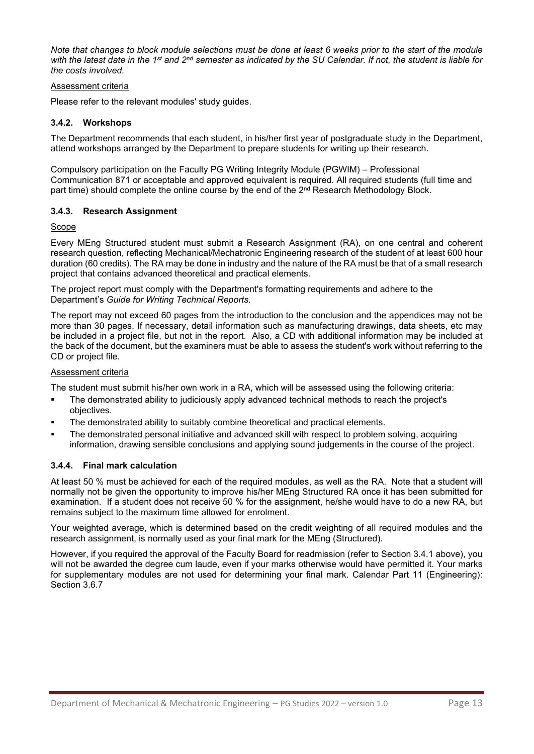*Note that changes to block module selections must be done at least 6 weeks prior to the start of the module with the latest date in the 1st and 2nd semester as indicated by the SU Calendar. If not, the student is liable for the costs involved.*

#### Assessment criteria

Please refer to the relevant modules' study guides.

#### **3.4.2. Workshops**

The Department recommends that each student, in his/her first year of postgraduate study in the Department, attend workshops arranged by the Department to prepare students for writing up their research.

Compulsory participation on the Faculty PG Writing Integrity Module (PGWIM) – Professional Communication 871 or acceptable and approved equivalent is required. All required students (full time and part time) should complete the online course by the end of the 2<sup>nd</sup> Research Methodology Block.

#### **3.4.3. Research Assignment**

#### Scope

Every MEng Structured student must submit a Research Assignment (RA), on one central and coherent research question, reflecting Mechanical/Mechatronic Engineering research of the student of at least 600 hour duration (60 credits). The RA may be done in industry and the nature of the RA must be that of a small research project that contains advanced theoretical and practical elements.

The project report must comply with the Department's formatting requirements and adhere to the Department's *Guide for Writing Technical Reports*.

The report may not exceed 60 pages from the introduction to the conclusion and the appendices may not be more than 30 pages. If necessary, detail information such as manufacturing drawings, data sheets, etc may be included in a project file, but not in the report. Also, a CD with additional information may be included at the back of the document, but the examiners must be able to assess the student's work without referring to the CD or project file.

#### Assessment criteria

The student must submit his/her own work in a RA, which will be assessed using the following criteria:

- The demonstrated ability to judiciously apply advanced technical methods to reach the project's objectives.
- The demonstrated ability to suitably combine theoretical and practical elements.
- The demonstrated personal initiative and advanced skill with respect to problem solving, acquiring information, drawing sensible conclusions and applying sound judgements in the course of the project.

#### **3.4.4. Final mark calculation**

At least 50 % must be achieved for each of the required modules, as well as the RA. Note that a student will normally not be given the opportunity to improve his/her MEng Structured RA once it has been submitted for examination. If a student does not receive 50 % for the assignment, he/she would have to do a new RA, but remains subject to the maximum time allowed for enrolment.

Your weighted average, which is determined based on the credit weighting of all required modules and the research assignment, is normally used as your final mark for the MEng (Structured).

However, if you required the approval of the Faculty Board for readmission (refer to Section 3.4.1 above), you will not be awarded the degree cum laude, even if your marks otherwise would have permitted it. Your marks for supplementary modules are not used for determining your final mark. Calendar Part 11 (Engineering): Section 3.6.7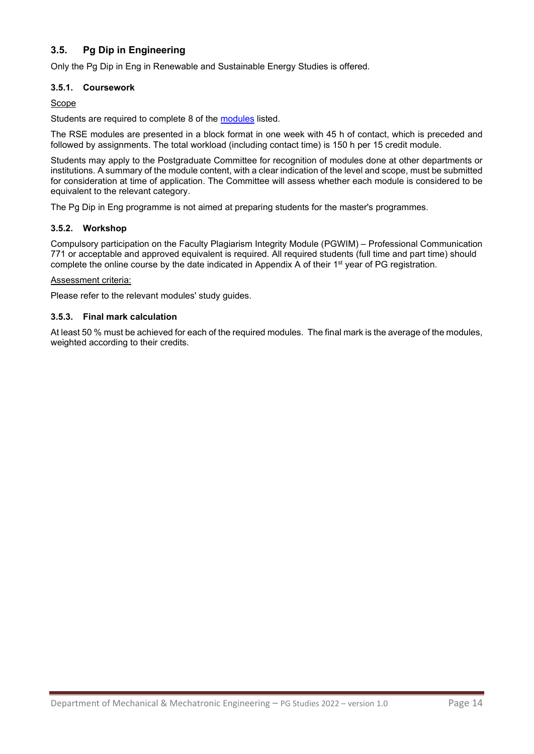# **3.5. Pg Dip in Engineering**

<span id="page-13-0"></span>Only the Pg Dip in Eng in Renewable and Sustainable Energy Studies is offered.

#### **3.5.1. Coursework**

#### Scope

Students are required to complete 8 of the [modules](https://www.mecheng.sun.ac.za/media/sites/10/PG-Dip-Mechanical-Engineering_Focus-RenewableEnergy_Programme-Outline_2022_20211207.pdf) listed.

The RSE modules are presented in a block format in one week with 45 h of contact, which is preceded and followed by assignments. The total workload (including contact time) is 150 h per 15 credit module.

Students may apply to the Postgraduate Committee for recognition of modules done at other departments or institutions. A summary of the module content, with a clear indication of the level and scope, must be submitted for consideration at time of application. The Committee will assess whether each module is considered to be equivalent to the relevant category.

The Pg Dip in Eng programme is not aimed at preparing students for the master's programmes.

#### **3.5.2. Workshop**

Compulsory participation on the Faculty Plagiarism Integrity Module (PGWIM) – Professional Communication 771 or acceptable and approved equivalent is required. All required students (full time and part time) should complete the online course by the date indicated in Appendix A of their 1<sup>st</sup> year of PG registration.

#### Assessment criteria:

Please refer to the relevant modules' study guides.

#### **3.5.3. Final mark calculation**

At least 50 % must be achieved for each of the required modules. The final mark is the average of the modules, weighted according to their credits.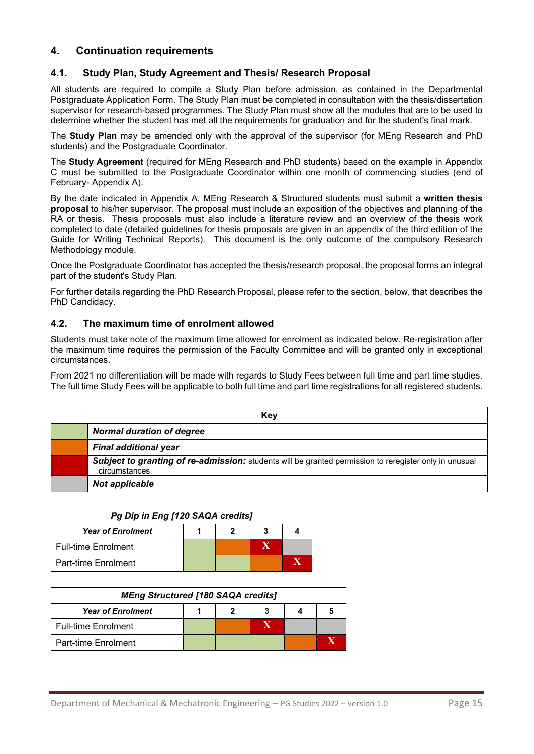# **4. Continuation requirements**

### <span id="page-14-1"></span><span id="page-14-0"></span>**4.1. Study Plan, Study Agreement and Thesis/ Research Proposal**

All students are required to compile a Study Plan before admission, as contained in the Departmental Postgraduate Application Form. The Study Plan must be completed in consultation with the thesis/dissertation supervisor for research-based programmes. The Study Plan must show all the modules that are to be used to determine whether the student has met all the requirements for graduation and for the student's final mark.

The **Study Plan** may be amended only with the approval of the supervisor (for MEng Research and PhD students) and the Postgraduate Coordinator.

The **Study Agreement** (required for MEng Research and PhD students) based on the example in Appendix C must be submitted to the Postgraduate Coordinator within one month of commencing studies (end of February- Appendix A).

By the date indicated in Appendix A, MEng Research & Structured students must submit a **written thesis proposal** to his/her supervisor. The proposal must include an exposition of the objectives and planning of the RA or thesis. Thesis proposals must also include a literature review and an overview of the thesis work completed to date (detailed guidelines for thesis proposals are given in an appendix of the third edition of the Guide for Writing Technical Reports). This document is the only outcome of the compulsory Research Methodology module.

Once the Postgraduate Coordinator has accepted the thesis/research proposal, the proposal forms an integral part of the student's Study Plan.

For further details regarding the PhD Research Proposal, please refer to the section, below, that describes the PhD Candidacy.

#### <span id="page-14-2"></span>**4.2. The maximum time of enrolment allowed**

Students must take note of the maximum time allowed for enrolment as indicated below. Re-registration after the maximum time requires the permission of the Faculty Committee and will be granted only in exceptional circumstances.

From 2021 no differentiation will be made with regards to Study Fees between full time and part time studies. The full time Study Fees will be applicable to both full time and part time registrations for all registered students.

| Key |                                                                                                                         |  |  |
|-----|-------------------------------------------------------------------------------------------------------------------------|--|--|
|     | <b>Normal duration of degree</b>                                                                                        |  |  |
|     | <b>Final additional year</b>                                                                                            |  |  |
|     | Subject to granting of re-admission: students will be granted permission to reregister only in unusual<br>circumstances |  |  |
|     | <b>Not applicable</b>                                                                                                   |  |  |

| Pg Dip in Eng [120 SAQA credits] |  |  |  |  |  |
|----------------------------------|--|--|--|--|--|
| <b>Year of Enrolment</b>         |  |  |  |  |  |
| <b>Full-time Enrolment</b>       |  |  |  |  |  |
| Part-time Enrolment              |  |  |  |  |  |

| <b>MEng Structured [180 SAQA credits]</b> |  |  |  |  |  |
|-------------------------------------------|--|--|--|--|--|
| <b>Year of Enrolment</b>                  |  |  |  |  |  |
| <b>Full-time Enrolment</b>                |  |  |  |  |  |
| <b>Part-time Enrolment</b>                |  |  |  |  |  |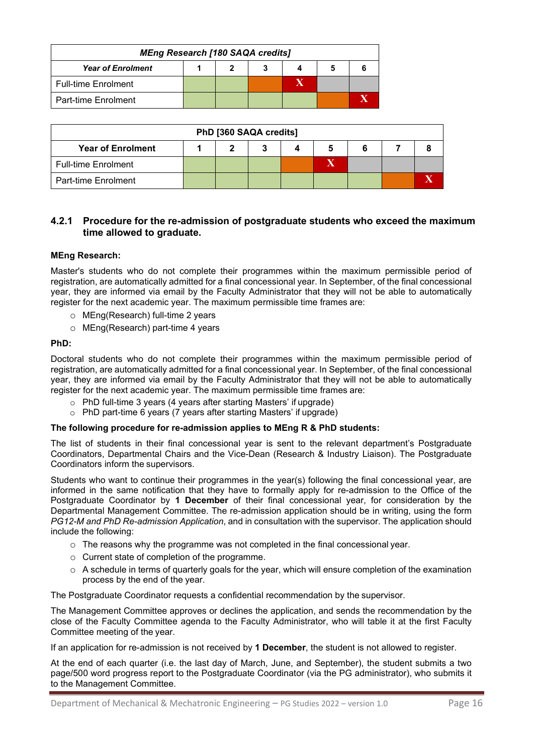| <b>MEng Research [180 SAQA credits]</b> |  |  |   |  |
|-----------------------------------------|--|--|---|--|
| <b>Year of Enrolment</b>                |  |  | o |  |
| <b>Full-time Enrolment</b>              |  |  |   |  |
| Part-time Enrolment                     |  |  |   |  |

| PhD [360 SAQA credits]     |  |  |  |  |  |  |  |
|----------------------------|--|--|--|--|--|--|--|
| <b>Year of Enrolment</b>   |  |  |  |  |  |  |  |
| <b>Full-time Enrolment</b> |  |  |  |  |  |  |  |
| <b>Part-time Enrolment</b> |  |  |  |  |  |  |  |

#### **4.2.1 Procedure for the re-admission of postgraduate students who exceed the maximum time allowed to graduate.**

#### **MEng Research:**

Master's students who do not complete their programmes within the maximum permissible period of registration, are automatically admitted for a final concessional year. In September, of the final concessional year, they are informed via email by the Faculty Administrator that they will not be able to automatically register for the next academic year. The maximum permissible time frames are:

- o MEng(Research) full-time 2 years
- o MEng(Research) part-time 4 years

#### **PhD:**

Doctoral students who do not complete their programmes within the maximum permissible period of registration, are automatically admitted for a final concessional year. In September, of the final concessional year, they are informed via email by the Faculty Administrator that they will not be able to automatically register for the next academic year. The maximum permissible time frames are:

- o PhD full-time 3 years (4 years after starting Masters' if upgrade)
- o PhD part-time 6 years (7 years after starting Masters' if upgrade)

#### **The following procedure for re-admission applies to MEng R & PhD students:**

The list of students in their final concessional year is sent to the relevant department's Postgraduate Coordinators, Departmental Chairs and the Vice-Dean (Research & Industry Liaison). The Postgraduate Coordinators inform the supervisors.

Students who want to continue their programmes in the year(s) following the final concessional year, are informed in the same notification that they have to formally apply for re-admission to the Office of the Postgraduate Coordinator by **1 December** of their final concessional year, for consideration by the Departmental Management Committee. The re-admission application should be in writing, using the form *PG12-M and PhD Re-admission Application*, and in consultation with the supervisor. The application should include the following:

- $\circ$  The reasons why the programme was not completed in the final concessional year.
- o Current state of completion of the programme.
- $\circ$  A schedule in terms of quarterly goals for the year, which will ensure completion of the examination process by the end of the year.

The Postgraduate Coordinator requests a confidential recommendation by the supervisor.

The Management Committee approves or declines the application, and sends the recommendation by the close of the Faculty Committee agenda to the Faculty Administrator, who will table it at the first Faculty Committee meeting of the year.

If an application for re-admission is not received by **1 December**, the student is not allowed to register.

At the end of each quarter (i.e. the last day of March, June, and September), the student submits a two page/500 word progress report to the Postgraduate Coordinator (via the PG administrator), who submits it to the Management Committee.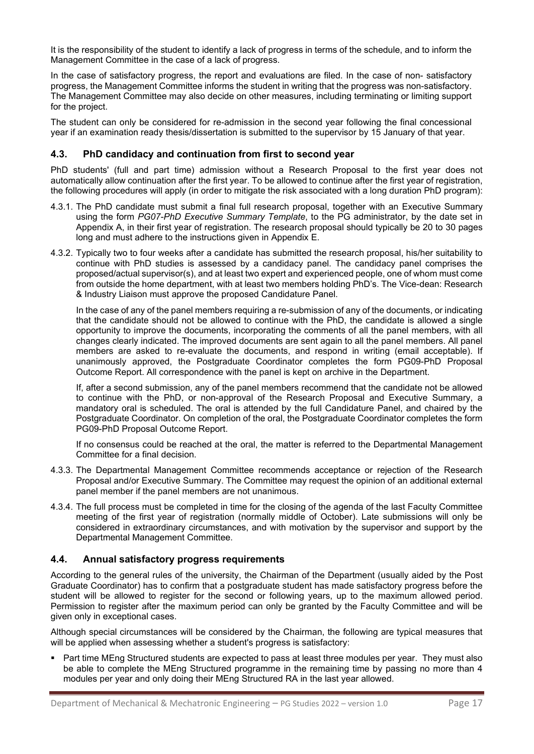It is the responsibility of the student to identify a lack of progress in terms of the schedule, and to inform the Management Committee in the case of a lack of progress.

In the case of satisfactory progress, the report and evaluations are filed. In the case of non- satisfactory progress, the Management Committee informs the student in writing that the progress was non-satisfactory. The Management Committee may also decide on other measures, including terminating or limiting support for the project.

The student can only be considered for re-admission in the second year following the final concessional year if an examination ready thesis/dissertation is submitted to the supervisor by 15 January of that year.

#### <span id="page-16-0"></span>**4.3. PhD candidacy and continuation from first to second year**

PhD students' (full and part time) admission without a Research Proposal to the first year does not automatically allow continuation after the first year. To be allowed to continue after the first year of registration, the following procedures will apply (in order to mitigate the risk associated with a long duration PhD program):

- 4.3.1. The PhD candidate must submit a final full research proposal, together with an Executive Summary using the form *PG07-PhD Executive Summary Template*, to the PG administrator, by the date set in Appendix A, in their first year of registration. The research proposal should typically be 20 to 30 pages long and must adhere to the instructions given in Appendix E.
- 4.3.2. Typically two to four weeks after a candidate has submitted the research proposal, his/her suitability to continue with PhD studies is assessed by a candidacy panel. The candidacy panel comprises the proposed/actual supervisor(s), and at least two expert and experienced people, one of whom must come from outside the home department, with at least two members holding PhD's. The Vice-dean: Research & Industry Liaison must approve the proposed Candidature Panel.

In the case of any of the panel members requiring a re-submission of any of the documents, or indicating that the candidate should not be allowed to continue with the PhD, the candidate is allowed a single opportunity to improve the documents, incorporating the comments of all the panel members, with all changes clearly indicated. The improved documents are sent again to all the panel members. All panel members are asked to re-evaluate the documents, and respond in writing (email acceptable). If unanimously approved, the Postgraduate Coordinator completes the form PG09-PhD Proposal Outcome Report. All correspondence with the panel is kept on archive in the Department.

If, after a second submission, any of the panel members recommend that the candidate not be allowed to continue with the PhD, or non-approval of the Research Proposal and Executive Summary, a mandatory oral is scheduled. The oral is attended by the full Candidature Panel, and chaired by the Postgraduate Coordinator. On completion of the oral, the Postgraduate Coordinator completes the form PG09-PhD Proposal Outcome Report.

If no consensus could be reached at the oral, the matter is referred to the Departmental Management Committee for a final decision.

- 4.3.3. The Departmental Management Committee recommends acceptance or rejection of the Research Proposal and/or Executive Summary. The Committee may request the opinion of an additional external panel member if the panel members are not unanimous.
- 4.3.4. The full process must be completed in time for the closing of the agenda of the last Faculty Committee meeting of the first year of registration (normally middle of October). Late submissions will only be considered in extraordinary circumstances, and with motivation by the supervisor and support by the Departmental Management Committee.

#### <span id="page-16-1"></span>**4.4. Annual satisfactory progress requirements**

According to the general rules of the university, the Chairman of the Department (usually aided by the Post Graduate Coordinator) has to confirm that a postgraduate student has made satisfactory progress before the student will be allowed to register for the second or following years, up to the maximum allowed period. Permission to register after the maximum period can only be granted by the Faculty Committee and will be given only in exceptional cases.

Although special circumstances will be considered by the Chairman, the following are typical measures that will be applied when assessing whether a student's progress is satisfactory:

 Part time MEng Structured students are expected to pass at least three modules per year. They must also be able to complete the MEng Structured programme in the remaining time by passing no more than 4 modules per year and only doing their MEng Structured RA in the last year allowed.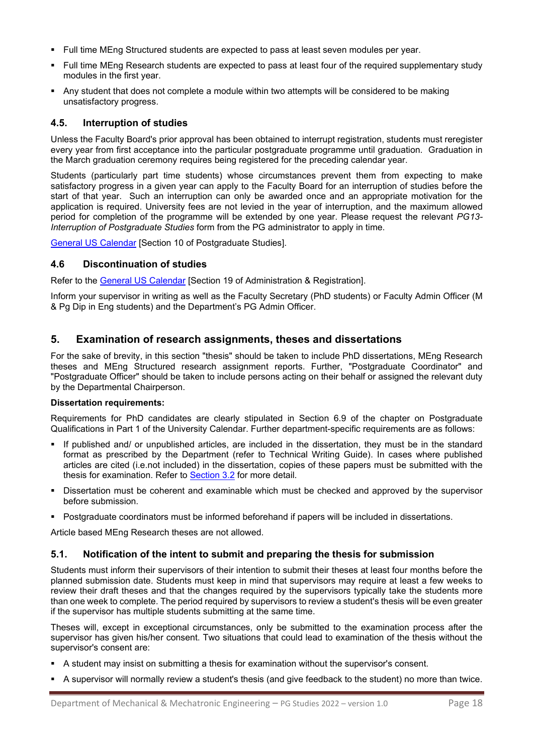- Full time MEng Structured students are expected to pass at least seven modules per year.
- Full time MEng Research students are expected to pass at least four of the required supplementary study modules in the first year.
- Any student that does not complete a module within two attempts will be considered to be making unsatisfactory progress.

### <span id="page-17-0"></span>**4.5. Interruption of studies**

Unless the Faculty Board's prior approval has been obtained to interrupt registration, students must reregister every year from first acceptance into the particular postgraduate programme until graduation. Graduation in the March graduation ceremony requires being registered for the preceding calendar year.

Students (particularly part time students) whose circumstances prevent them from expecting to make satisfactory progress in a given year can apply to the Faculty Board for an interruption of studies before the start of that year. Such an interruption can only be awarded once and an appropriate motivation for the application is required. University fees are not levied in the year of interruption, and the maximum allowed period for completion of the programme will be extended by one year. Please request the relevant *PG13- Interruption of Postgraduate Studies* form from the PG administrator to apply in time.

<span id="page-17-1"></span>[General US Calendar](http://www.sun.ac.za/english/faculty/Pages/Calendar.aspx) [Section 10 of Postgraduate Studies].

#### **4.6 Discontinuation of studies**

Refer to the [General US Calendar](http://www.sun.ac.za/english/faculty/Pages/Calendar.aspx) [Section 19 of Administration & Registration].

Inform your supervisor in writing as well as the Faculty Secretary (PhD students) or Faculty Admin Officer (M & Pg Dip in Eng students) and the Department's PG Admin Officer.

### <span id="page-17-2"></span>**5. Examination of research assignments, theses and dissertations**

For the sake of brevity, in this section "thesis" should be taken to include PhD dissertations, MEng Research theses and MEng Structured research assignment reports. Further, "Postgraduate Coordinator" and "Postgraduate Officer" should be taken to include persons acting on their behalf or assigned the relevant duty by the Departmental Chairperson.

#### **Dissertation requirements:**

Requirements for PhD candidates are clearly stipulated in Section 6.9 of the chapter on Postgraduate Qualifications in Part 1 of the University Calendar. Further department-specific requirements are as follows:

- If published and/ or unpublished articles, are included in the dissertation, they must be in the standard format as prescribed by the Department (refer to Technical Writing Guide). In cases where published articles are cited (i.e.not included) in the dissertation, copies of these papers must be submitted with the thesis for examination. Refer to [Section 3.2](#page-8-1) for more detail.
- Dissertation must be coherent and examinable which must be checked and approved by the supervisor before submission.
- Postgraduate coordinators must be informed beforehand if papers will be included in dissertations.

Article based MEng Research theses are not allowed.

#### <span id="page-17-3"></span>**5.1. Notification of the intent to submit and preparing the thesis for submission**

Students must inform their supervisors of their intention to submit their theses at least four months before the planned submission date. Students must keep in mind that supervisors may require at least a few weeks to review their draft theses and that the changes required by the supervisors typically take the students more than one week to complete. The period required by supervisors to review a student's thesis will be even greater if the supervisor has multiple students submitting at the same time.

Theses will, except in exceptional circumstances, only be submitted to the examination process after the supervisor has given his/her consent. Two situations that could lead to examination of the thesis without the supervisor's consent are:

- A student may insist on submitting a thesis for examination without the supervisor's consent.
- A supervisor will normally review a student's thesis (and give feedback to the student) no more than twice.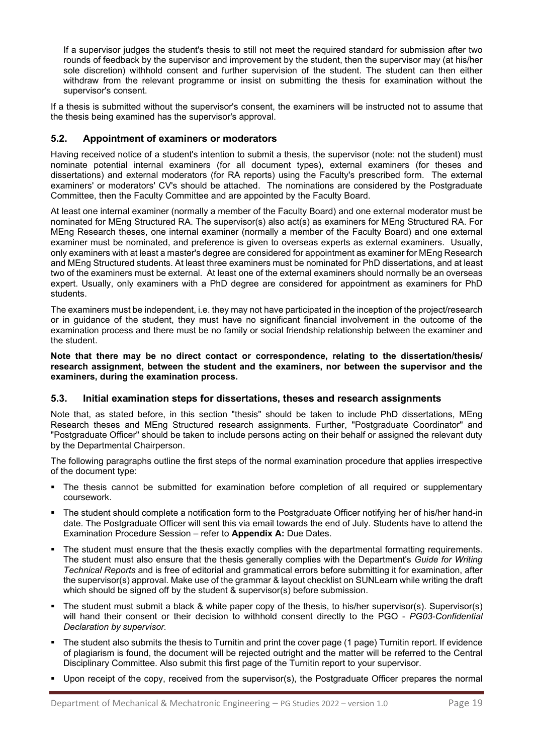If a supervisor judges the student's thesis to still not meet the required standard for submission after two rounds of feedback by the supervisor and improvement by the student, then the supervisor may (at his/her sole discretion) withhold consent and further supervision of the student. The student can then either withdraw from the relevant programme or insist on submitting the thesis for examination without the supervisor's consent.

If a thesis is submitted without the supervisor's consent, the examiners will be instructed not to assume that the thesis being examined has the supervisor's approval.

#### <span id="page-18-0"></span>**5.2. Appointment of examiners or moderators**

Having received notice of a student's intention to submit a thesis, the supervisor (note: not the student) must nominate potential internal examiners (for all document types), external examiners (for theses and dissertations) and external moderators (for RA reports) using the Faculty's prescribed form. The external examiners' or moderators' CV's should be attached. The nominations are considered by the Postgraduate Committee, then the Faculty Committee and are appointed by the Faculty Board.

At least one internal examiner (normally a member of the Faculty Board) and one external moderator must be nominated for MEng Structured RA. The supervisor(s) also act(s) as examiners for MEng Structured RA. For MEng Research theses, one internal examiner (normally a member of the Faculty Board) and one external examiner must be nominated, and preference is given to overseas experts as external examiners. Usually, only examiners with at least a master's degree are considered for appointment as examiner for MEng Research and MEng Structured students. At least three examiners must be nominated for PhD dissertations, and at least two of the examiners must be external. At least one of the external examiners should normally be an overseas expert. Usually, only examiners with a PhD degree are considered for appointment as examiners for PhD students.

The examiners must be independent, i.e. they may not have participated in the inception of the project/research or in guidance of the student, they must have no significant financial involvement in the outcome of the examination process and there must be no family or social friendship relationship between the examiner and the student.

**Note that there may be no direct contact or correspondence, relating to the dissertation/thesis/ research assignment, between the student and the examiners, nor between the supervisor and the examiners, during the examination process.**

#### <span id="page-18-1"></span>**5.3. Initial examination steps for dissertations, theses and research assignments**

Note that, as stated before, in this section "thesis" should be taken to include PhD dissertations, MEng Research theses and MEng Structured research assignments. Further, "Postgraduate Coordinator" and "Postgraduate Officer" should be taken to include persons acting on their behalf or assigned the relevant duty by the Departmental Chairperson.

The following paragraphs outline the first steps of the normal examination procedure that applies irrespective of the document type:

- The thesis cannot be submitted for examination before completion of all required or supplementary coursework.
- The student should complete a notification form to the Postgraduate Officer notifying her of his/her hand-in date. The Postgraduate Officer will sent this via email towards the end of July. Students have to attend the Examination Procedure Session – refer to **Appendix A:** Due Dates.
- The student must ensure that the thesis exactly complies with the departmental formatting requirements. The student must also ensure that the thesis generally complies with the Department's *Guide for Writing Technical Reports* and is free of editorial and grammatical errors before submitting it for examination, after the supervisor(s) approval. Make use of the grammar & layout checklist on SUNLearn while writing the draft which should be signed off by the student & supervisor(s) before submission.
- The student must submit a black & white paper copy of the thesis, to his/her supervisor(s). Supervisor(s) will hand their consent or their decision to withhold consent directly to the PGO - *PG03-Confidential Declaration by supervisor.*
- The student also submits the thesis to Turnitin and print the cover page (1 page) Turnitin report. If evidence of plagiarism is found, the document will be rejected outright and the matter will be referred to the Central Disciplinary Committee. Also submit this first page of the Turnitin report to your supervisor.
- Upon receipt of the copy, received from the supervisor(s), the Postgraduate Officer prepares the normal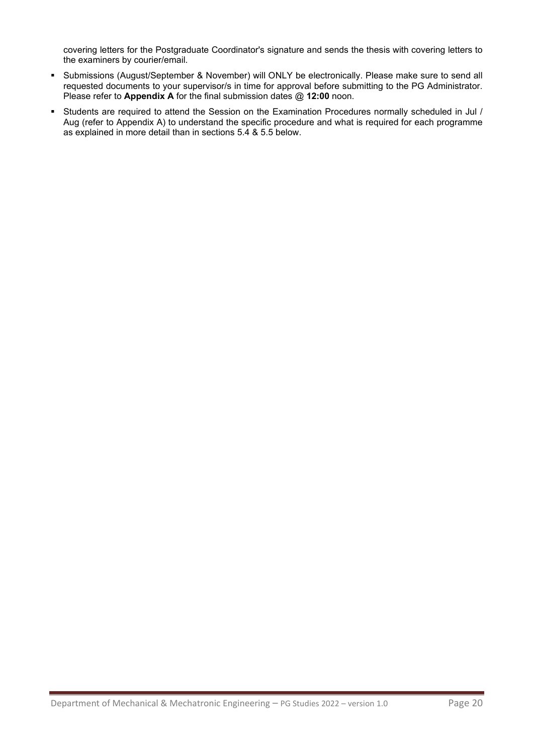covering letters for the Postgraduate Coordinator's signature and sends the thesis with covering letters to the examiners by courier/email.

- Submissions (August/September & November) will ONLY be electronically. Please make sure to send all requested documents to your supervisor/s in time for approval before submitting to the PG Administrator. Please refer to **Appendix A** for the final submission dates @ **12:00** noon.
- Students are required to attend the Session on the Examination Procedures normally scheduled in Jul / Aug (refer to Appendix A) to understand the specific procedure and what is required for each programme as explained in more detail than in sections 5.4 & 5.5 below.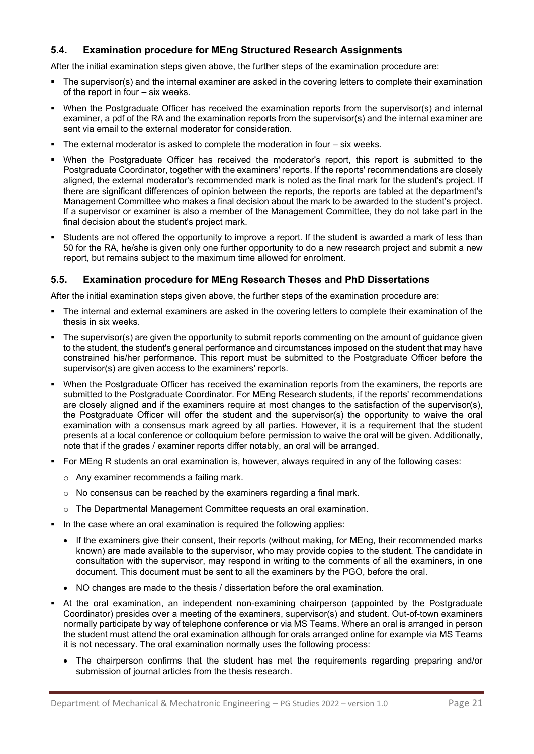# **5.4. Examination procedure for MEng Structured Research Assignments**

<span id="page-20-0"></span>After the initial examination steps given above, the further steps of the examination procedure are:

- The supervisor(s) and the internal examiner are asked in the covering letters to complete their examination of the report in four – six weeks.
- When the Postgraduate Officer has received the examination reports from the supervisor(s) and internal examiner, a pdf of the RA and the examination reports from the supervisor(s) and the internal examiner are sent via email to the external moderator for consideration.
- $\blacksquare$  The external moderator is asked to complete the moderation in four  $-$  six weeks.
- When the Postgraduate Officer has received the moderator's report, this report is submitted to the Postgraduate Coordinator, together with the examiners' reports. If the reports' recommendations are closely aligned, the external moderator's recommended mark is noted as the final mark for the student's project. If there are significant differences of opinion between the reports, the reports are tabled at the department's Management Committee who makes a final decision about the mark to be awarded to the student's project. If a supervisor or examiner is also a member of the Management Committee, they do not take part in the final decision about the student's project mark.
- Students are not offered the opportunity to improve a report. If the student is awarded a mark of less than 50 for the RA, he/she is given only one further opportunity to do a new research project and submit a new report, but remains subject to the maximum time allowed for enrolment.

### <span id="page-20-1"></span>**5.5. Examination procedure for MEng Research Theses and PhD Dissertations**

After the initial examination steps given above, the further steps of the examination procedure are:

- The internal and external examiners are asked in the covering letters to complete their examination of the thesis in six weeks.
- The supervisor(s) are given the opportunity to submit reports commenting on the amount of guidance given to the student, the student's general performance and circumstances imposed on the student that may have constrained his/her performance. This report must be submitted to the Postgraduate Officer before the supervisor(s) are given access to the examiners' reports.
- When the Postgraduate Officer has received the examination reports from the examiners, the reports are submitted to the Postgraduate Coordinator. For MEng Research students, if the reports' recommendations are closely aligned and if the examiners require at most changes to the satisfaction of the supervisor(s), the Postgraduate Officer will offer the student and the supervisor(s) the opportunity to waive the oral examination with a consensus mark agreed by all parties. However, it is a requirement that the student presents at a local conference or colloquium before permission to waive the oral will be given. Additionally, note that if the grades / examiner reports differ notably, an oral will be arranged.
- For MEng R students an oral examination is, however, always required in any of the following cases:
	- o Any examiner recommends a failing mark.
	- o No consensus can be reached by the examiners regarding a final mark.
	- o The Departmental Management Committee requests an oral examination.
- In the case where an oral examination is required the following applies:
	- If the examiners give their consent, their reports (without making, for MEng, their recommended marks known) are made available to the supervisor, who may provide copies to the student. The candidate in consultation with the supervisor, may respond in writing to the comments of all the examiners, in one document. This document must be sent to all the examiners by the PGO, before the oral.
	- NO changes are made to the thesis / dissertation before the oral examination.
- At the oral examination, an independent non-examining chairperson (appointed by the Postgraduate Coordinator) presides over a meeting of the examiners, supervisor(s) and student. Out-of-town examiners normally participate by way of telephone conference or via MS Teams. Where an oral is arranged in person the student must attend the oral examination although for orals arranged online for example via MS Teams it is not necessary. The oral examination normally uses the following process:
	- The chairperson confirms that the student has met the requirements regarding preparing and/or submission of journal articles from the thesis research.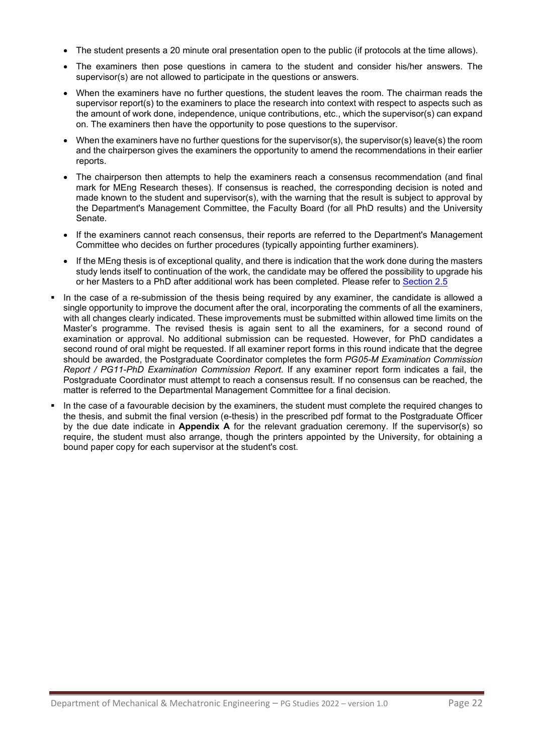- The student presents a 20 minute oral presentation open to the public (if protocols at the time allows).
- The examiners then pose questions in camera to the student and consider his/her answers. The supervisor(s) are not allowed to participate in the questions or answers.
- When the examiners have no further questions, the student leaves the room. The chairman reads the supervisor report(s) to the examiners to place the research into context with respect to aspects such as the amount of work done, independence, unique contributions, etc., which the supervisor(s) can expand on. The examiners then have the opportunity to pose questions to the supervisor.
- When the examiners have no further questions for the supervisor(s), the supervisor(s) leave(s) the room and the chairperson gives the examiners the opportunity to amend the recommendations in their earlier reports.
- The chairperson then attempts to help the examiners reach a consensus recommendation (and final mark for MEng Research theses). If consensus is reached, the corresponding decision is noted and made known to the student and supervisor(s), with the warning that the result is subject to approval by the Department's Management Committee, the Faculty Board (for all PhD results) and the University Senate.
- If the examiners cannot reach consensus, their reports are referred to the Department's Management Committee who decides on further procedures (typically appointing further examiners).
- If the MEng thesis is of exceptional quality, and there is indication that the work done during the masters study lends itself to continuation of the work, the candidate may be offered the possibility to upgrade his or her Masters to a PhD after additional work has been completed. Please refer to [Section 2.5](#page-5-1)
- In the case of a re-submission of the thesis being required by any examiner, the candidate is allowed a single opportunity to improve the document after the oral, incorporating the comments of all the examiners, with all changes clearly indicated. These improvements must be submitted within allowed time limits on the Master's programme. The revised thesis is again sent to all the examiners, for a second round of examination or approval. No additional submission can be requested. However, for PhD candidates a second round of oral might be requested. If all examiner report forms in this round indicate that the degree should be awarded, the Postgraduate Coordinator completes the form *PG05-M Examination Commission Report / PG11-PhD Examination Commission Report*. If any examiner report form indicates a fail, the Postgraduate Coordinator must attempt to reach a consensus result. If no consensus can be reached, the matter is referred to the Departmental Management Committee for a final decision.
- In the case of a favourable decision by the examiners, the student must complete the required changes to the thesis, and submit the final version (e-thesis) in the prescribed pdf format to the Postgraduate Officer by the due date indicate in **Appendix A** for the relevant graduation ceremony. If the supervisor(s) so require, the student must also arrange, though the printers appointed by the University, for obtaining a bound paper copy for each supervisor at the student's cost.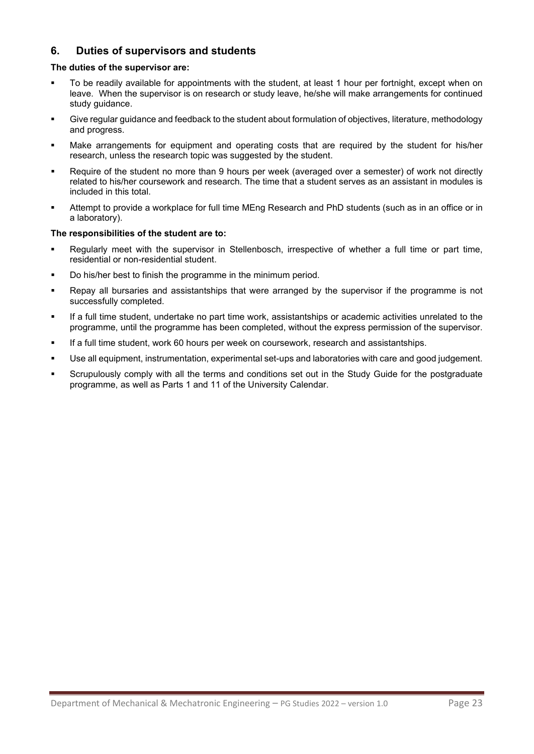# **6. Duties of supervisors and students**

#### <span id="page-22-0"></span>**The duties of the supervisor are:**

- To be readily available for appointments with the student, at least 1 hour per fortnight, except when on leave. When the supervisor is on research or study leave, he/she will make arrangements for continued study guidance.
- Give regular guidance and feedback to the student about formulation of objectives, literature, methodology and progress.
- Make arrangements for equipment and operating costs that are required by the student for his/her research, unless the research topic was suggested by the student.
- Require of the student no more than 9 hours per week (averaged over a semester) of work not directly related to his/her coursework and research. The time that a student serves as an assistant in modules is included in this total.
- Attempt to provide a workplace for full time MEng Research and PhD students (such as in an office or in a laboratory).

#### **The responsibilities of the student are to:**

- Regularly meet with the supervisor in Stellenbosch, irrespective of whether a full time or part time, residential or non-residential student.
- Do his/her best to finish the programme in the minimum period.
- Repay all bursaries and assistantships that were arranged by the supervisor if the programme is not successfully completed.
- If a full time student, undertake no part time work, assistantships or academic activities unrelated to the programme, until the programme has been completed, without the express permission of the supervisor.
- If a full time student, work 60 hours per week on coursework, research and assistantships.
- Use all equipment, instrumentation, experimental set-ups and laboratories with care and good judgement.
- Scrupulously comply with all the terms and conditions set out in the Study Guide for the postgraduate programme, as well as Parts 1 and 11 of the University Calendar.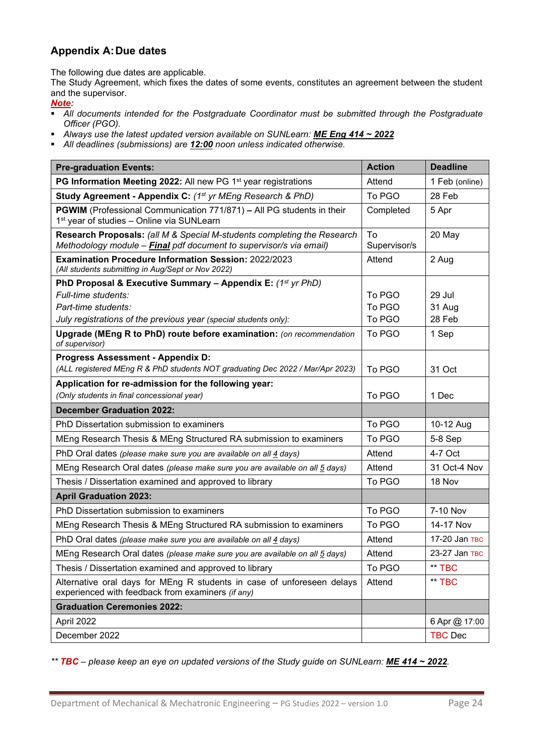# <span id="page-23-0"></span>**Appendix A:Due dates**

The following due dates are applicable.

The Study Agreement, which fixes the dates of some events, constitutes an agreement between the student and the supervisor.

#### *Note:*

- *All documents intended for the Postgraduate Coordinator must be submitted through the Postgraduate Officer (PGO).*
- *Always use the latest updated version available on SUNLearn: ME Eng 414 ~ 2022*
- *All deadlines (submissions) are 12:00 noon unless indicated otherwise.*

| <b>Pre-graduation Events:</b>                                                                                                                 | <b>Action</b>      | <b>Deadline</b> |
|-----------------------------------------------------------------------------------------------------------------------------------------------|--------------------|-----------------|
| PG Information Meeting 2022: All new PG 1 <sup>st</sup> year registrations                                                                    | Attend             | 1 Feb (online)  |
| Study Agreement - Appendix C: (1st yr MEng Research & PhD)                                                                                    | To PGO             | 28 Feb          |
| <b>PGWIM</b> (Professional Communication 771/871) - All PG students in their<br>1 <sup>st</sup> year of studies - Online via SUNLearn         | Completed          | 5 Apr           |
| Research Proposals: (all M & Special M-students completing the Research<br>Methodology module - Final pdf document to supervisor/s via email) | To<br>Supervisor/s | 20 May          |
| <b>Examination Procedure Information Session: 2022/2023</b><br>(All students submitting in Aug/Sept or Nov 2022)                              | Attend             | 2 Aug           |
| PhD Proposal & Executive Summary - Appendix E: $(1^{st}$ yr PhD)                                                                              |                    |                 |
| Full-time students:                                                                                                                           | To PGO             | 29 Jul          |
| Part-time students:                                                                                                                           | To PGO             | 31 Aug          |
| July registrations of the previous year (special students only):                                                                              | To PGO             | 28 Feb          |
| Upgrade (MEng R to PhD) route before examination: (on recommendation<br>of supervisor)                                                        | To PGO             | 1 Sep           |
| <b>Progress Assessment - Appendix D:</b>                                                                                                      |                    |                 |
| (ALL registered MEng R & PhD students NOT graduating Dec 2022 / Mar/Apr 2023)                                                                 | To PGO             | 31 Oct          |
| Application for re-admission for the following year:                                                                                          |                    |                 |
| (Only students in final concessional year)                                                                                                    | To PGO             | 1 Dec           |
| <b>December Graduation 2022:</b>                                                                                                              |                    |                 |
| PhD Dissertation submission to examiners                                                                                                      | To PGO             | 10-12 Aug       |
| MEng Research Thesis & MEng Structured RA submission to examiners                                                                             | To PGO             | 5-8 Sep         |
| PhD Oral dates (please make sure you are available on all 4 days)                                                                             | Attend             | 4-7 Oct         |
| MEng Research Oral dates (please make sure you are available on all 5 days)                                                                   | Attend             | 31 Oct-4 Nov    |
| Thesis / Dissertation examined and approved to library                                                                                        | To PGO             | 18 Nov          |
| <b>April Graduation 2023:</b>                                                                                                                 |                    |                 |
| PhD Dissertation submission to examiners                                                                                                      | To PGO             | 7-10 Nov        |
| MEng Research Thesis & MEng Structured RA submission to examiners                                                                             | To PGO             | 14-17 Nov       |
| PhD Oral dates (please make sure you are available on all 4 days)                                                                             | Attend             | 17-20 Jan TBC   |
| MEng Research Oral dates (please make sure you are available on all 5 days)                                                                   | Attend             | 23-27 Jan TBC   |
| Thesis / Dissertation examined and approved to library                                                                                        | To PGO             | ** TBC          |
| Alternative oral days for MEng R students in case of unforeseen delays<br>experienced with feedback from examiners (if any)                   | Attend             | ** TBC          |
| <b>Graduation Ceremonies 2022:</b>                                                                                                            |                    |                 |
| April 2022                                                                                                                                    |                    | 6 Apr @ 17:00   |
| December 2022                                                                                                                                 |                    | <b>TBC Dec</b>  |

*\*\* TBC – please keep an eye on updated versions of the Study guide on SUNLearn: ME 414 ~ 2022.*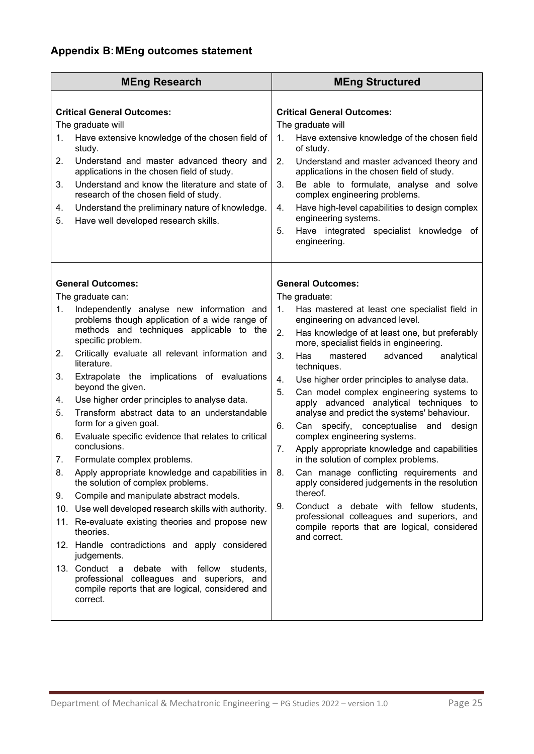<span id="page-24-0"></span>

| <b>MEng Research</b>                                                                                                                                                                                                                                                                                                                                                                                                                                                                                                                                                                                                                                                                                                                                                                                                                                                                                                                                                                                                                                                                                                                       |                                                           | <b>MEng Structured</b>                                                                                                                                                                                                                                                                                                                                                                                                                                                                                                                                                                                                                                                                                                                                                                                                                                                                                         |
|--------------------------------------------------------------------------------------------------------------------------------------------------------------------------------------------------------------------------------------------------------------------------------------------------------------------------------------------------------------------------------------------------------------------------------------------------------------------------------------------------------------------------------------------------------------------------------------------------------------------------------------------------------------------------------------------------------------------------------------------------------------------------------------------------------------------------------------------------------------------------------------------------------------------------------------------------------------------------------------------------------------------------------------------------------------------------------------------------------------------------------------------|-----------------------------------------------------------|----------------------------------------------------------------------------------------------------------------------------------------------------------------------------------------------------------------------------------------------------------------------------------------------------------------------------------------------------------------------------------------------------------------------------------------------------------------------------------------------------------------------------------------------------------------------------------------------------------------------------------------------------------------------------------------------------------------------------------------------------------------------------------------------------------------------------------------------------------------------------------------------------------------|
| <b>Critical General Outcomes:</b><br>The graduate will<br>Have extensive knowledge of the chosen field of<br>1.<br>study.<br>2.<br>Understand and master advanced theory and<br>applications in the chosen field of study.<br>Understand and know the literature and state of<br>3.<br>research of the chosen field of study.<br>Understand the preliminary nature of knowledge.<br>4.<br>Have well developed research skills.<br>5.                                                                                                                                                                                                                                                                                                                                                                                                                                                                                                                                                                                                                                                                                                       | 1.<br>2.<br>3.<br>4.<br>5.                                | <b>Critical General Outcomes:</b><br>The graduate will<br>Have extensive knowledge of the chosen field<br>of study.<br>Understand and master advanced theory and<br>applications in the chosen field of study.<br>Be able to formulate, analyse and solve<br>complex engineering problems.<br>Have high-level capabilities to design complex<br>engineering systems.<br>Have integrated specialist knowledge of<br>engineering.                                                                                                                                                                                                                                                                                                                                                                                                                                                                                |
| <b>General Outcomes:</b><br>The graduate can:<br>Independently analyse new information and<br>1.<br>problems though application of a wide range of<br>methods and techniques applicable to the<br>specific problem.<br>Critically evaluate all relevant information and<br>2.<br>literature.<br>Extrapolate the implications of evaluations<br>3.<br>beyond the given.<br>Use higher order principles to analyse data.<br>4.<br>Transform abstract data to an understandable<br>5.<br>form for a given goal.<br>Evaluate specific evidence that relates to critical<br>6.<br>conclusions.<br>Formulate complex problems.<br>7.<br>Apply appropriate knowledge and capabilities in $\vert$ 8.<br>8.<br>the solution of complex problems.<br>Compile and manipulate abstract models.<br>9.<br>10. Use well developed research skills with authority.<br>11. Re-evaluate existing theories and propose new<br>theories.<br>12. Handle contradictions and apply considered<br>judgements.<br>13. Conduct a<br>debate with fellow<br>professional colleagues and superiors, and<br>compile reports that are logical, considered and<br>correct. | 1.<br>2.<br>3.<br>4.<br>5.<br>6.<br>7.<br>9.<br>students, | <b>General Outcomes:</b><br>The graduate:<br>Has mastered at least one specialist field in<br>engineering on advanced level.<br>Has knowledge of at least one, but preferably<br>more, specialist fields in engineering.<br>Has<br>mastered<br>advanced<br>analytical<br>techniques.<br>Use higher order principles to analyse data.<br>Can model complex engineering systems to<br>apply advanced analytical techniques to<br>analyse and predict the systems' behaviour.<br>Can specify, conceptualise and<br>design<br>complex engineering systems.<br>Apply appropriate knowledge and capabilities<br>in the solution of complex problems.<br>Can manage conflicting requirements and<br>apply considered judgements in the resolution<br>thereof.<br>Conduct a debate with fellow students,<br>professional colleagues and superiors, and<br>compile reports that are logical, considered<br>and correct. |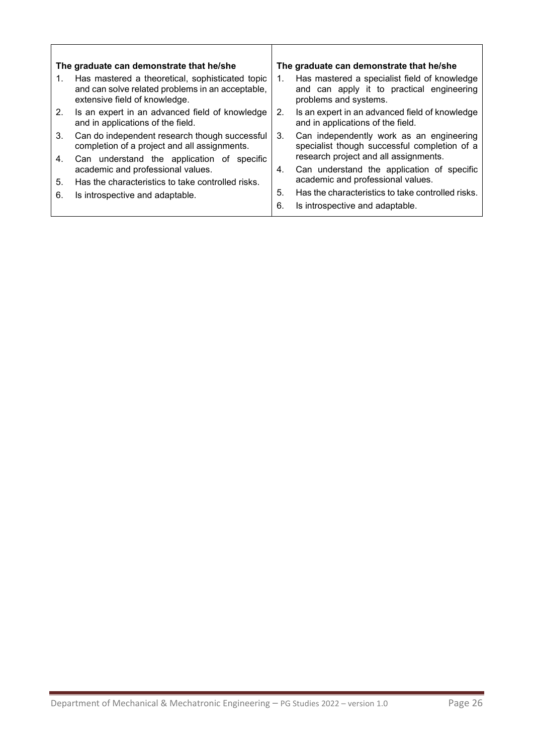| The graduate can demonstrate that he/she |                                                                                                                                      |         | The graduate can demonstrate that he/she                                                                           |
|------------------------------------------|--------------------------------------------------------------------------------------------------------------------------------------|---------|--------------------------------------------------------------------------------------------------------------------|
|                                          | Has mastered a theoretical, sophisticated topic<br>and can solve related problems in an acceptable,<br>extensive field of knowledge. | 1.      | Has mastered a specialist field of knowledge<br>and can apply it to practical engineering<br>problems and systems. |
| 2 <sub>1</sub>                           | Is an expert in an advanced field of knowledge<br>and in applications of the field.                                                  | $2_{-}$ | Is an expert in an advanced field of knowledge<br>and in applications of the field.                                |
| 3.                                       | Can do independent research though successful<br>completion of a project and all assignments.                                        | 3.      | Can independently work as an engineering<br>specialist though successful completion of a                           |
| 4.                                       | Can understand the application of specific                                                                                           |         | research project and all assignments.                                                                              |
|                                          | academic and professional values.                                                                                                    | 4.      | Can understand the application of specific                                                                         |
| 5.                                       | Has the characteristics to take controlled risks.                                                                                    |         | academic and professional values.                                                                                  |
| 6.                                       | Is introspective and adaptable.                                                                                                      | 5.      | Has the characteristics to take controlled risks.                                                                  |
|                                          |                                                                                                                                      | 6.      | Is introspective and adaptable.                                                                                    |

 $\overline{\mathsf{I}}$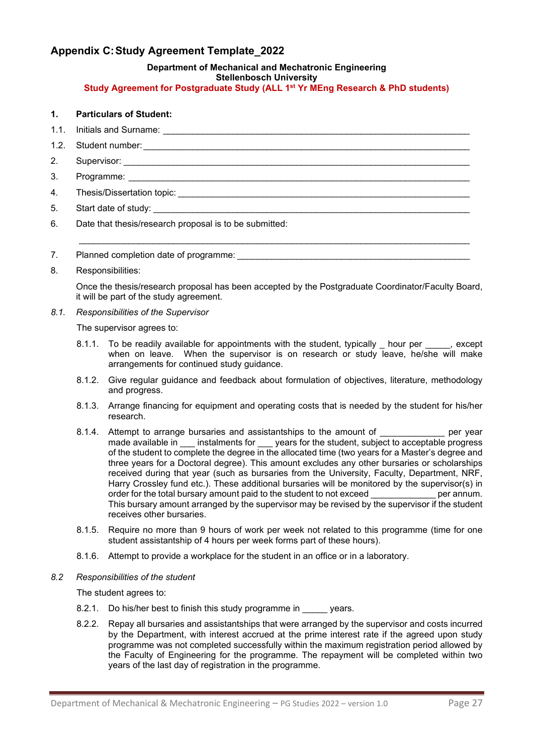# <span id="page-26-0"></span>**Appendix C:Study Agreement Template\_2022**

# **Department of Mechanical and Mechatronic Engineering**

#### **Stellenbosch University**

#### **Study Agreement for Postgraduate Study (ALL 1st Yr MEng Research & PhD students)**

#### **1. Particulars of Student:**

- 1.1. Initials and Surname: \_\_\_\_\_\_\_\_\_\_\_\_\_\_\_\_\_\_\_\_\_\_\_\_\_\_\_\_\_\_\_\_\_\_\_\_\_\_\_\_\_\_\_\_\_\_\_\_\_\_\_\_\_\_\_\_\_\_\_\_\_\_
- 1.2. Student number:
- 2. Supervisor:
- 3. Programme:
- 4. Thesis/Dissertation topic:
- 5. Start date of study:
- 6. Date that thesis/research proposal is to be submitted:
- 7. Planned completion date of programme:
- 8. Responsibilities:

Once the thesis/research proposal has been accepted by the Postgraduate Coordinator/Faculty Board, it will be part of the study agreement.

\_\_\_\_\_\_\_\_\_\_\_\_\_\_\_\_\_\_\_\_\_\_\_\_\_\_\_\_\_\_\_\_\_\_\_\_\_\_\_\_\_\_\_\_\_\_\_\_\_\_\_\_\_\_\_\_\_\_\_\_\_\_\_\_\_\_\_\_\_\_\_\_\_\_\_\_\_\_\_

*8.1. Responsibilities of the Supervisor*

The supervisor agrees to:

- 8.1.1. To be readily available for appointments with the student, typically \_\_\_\_\_\_\_\_\_, except when on leave. When the supervisor is on research or study leave, he/she will make arrangements for continued study guidance.
- 8.1.2. Give regular guidance and feedback about formulation of objectives, literature, methodology and progress.
- 8.1.3. Arrange financing for equipment and operating costs that is needed by the student for his/her research.
- 8.1.4. Attempt to arrange bursaries and assistantships to the amount of Theorem over year made available in \_\_\_ instalments for \_\_\_ years for the student, subject to acceptable progress of the student to complete the degree in the allocated time (two years for a Master's degree and three years for a Doctoral degree). This amount excludes any other bursaries or scholarships received during that year (such as bursaries from the University, Faculty, Department, NRF, Harry Crossley fund etc.). These additional bursaries will be monitored by the supervisor(s) in order for the total bursary amount paid to the student to not exceed order for the total bursary amount paid to the student to not exceed This bursary amount arranged by the supervisor may be revised by the supervisor if the student receives other bursaries.
- 8.1.5. Require no more than 9 hours of work per week not related to this programme (time for one student assistantship of 4 hours per week forms part of these hours).
- 8.1.6. Attempt to provide a workplace for the student in an office or in a laboratory.
- *8.2 Responsibilities of the student*

The student agrees to:

- 8.2.1. Do his/her best to finish this study programme in \_\_\_\_\_ years.
- 8.2.2. Repay all bursaries and assistantships that were arranged by the supervisor and costs incurred by the Department, with interest accrued at the prime interest rate if the agreed upon study programme was not completed successfully within the maximum registration period allowed by the Faculty of Engineering for the programme. The repayment will be completed within two years of the last day of registration in the programme.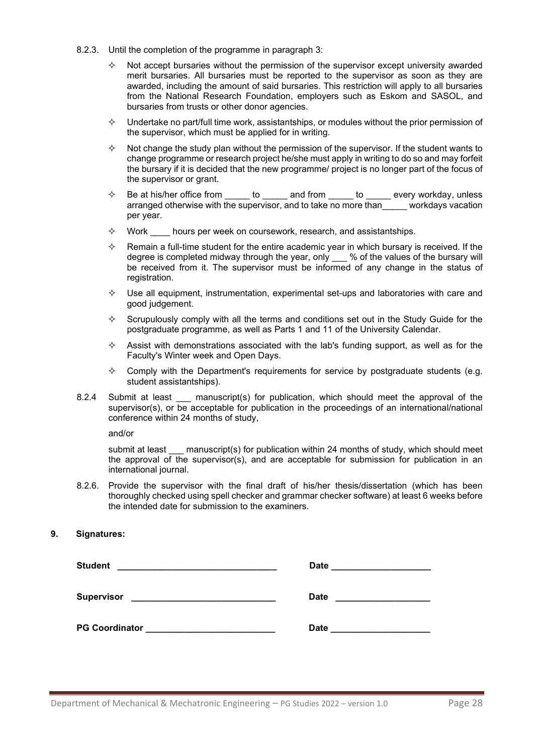- 8.2.3. Until the completion of the programme in paragraph 3:
	- $\Diamond$  Not accept bursaries without the permission of the supervisor except university awarded merit bursaries. All bursaries must be reported to the supervisor as soon as they are awarded, including the amount of said bursaries. This restriction will apply to all bursaries from the National Research Foundation, employers such as Eskom and SASOL, and bursaries from trusts or other donor agencies.
	- $\Diamond$  Undertake no part/full time work, assistantships, or modules without the prior permission of the supervisor, which must be applied for in writing.
	- $\Diamond$  Not change the study plan without the permission of the supervisor. If the student wants to change programme or research project he/she must apply in writing to do so and may forfeit the bursary if it is decided that the new programme/ project is no longer part of the focus of the supervisor or grant.
	- $\diamond$  Be at his/her office from \_\_\_\_\_ to \_\_\_\_\_ and from \_\_\_\_\_ to \_\_\_\_\_ every workday, unless arranged otherwise with the supervisor, and to take no more than\_\_\_\_\_ workdays vacation per year.
	- $\Diamond$  Work hours per week on coursework, research, and assistantships.
	- $\Diamond$  Remain a full-time student for the entire academic year in which bursary is received. If the degree is completed midway through the year, only \_\_\_ % of the values of the bursary will be received from it. The supervisor must be informed of any change in the status of registration.
	- $\Diamond$  Use all equipment, instrumentation, experimental set-ups and laboratories with care and good judgement.
	- $\Diamond$  Scrupulously comply with all the terms and conditions set out in the Study Guide for the postgraduate programme, as well as Parts 1 and 11 of the University Calendar.
	- $\Diamond$  Assist with demonstrations associated with the lab's funding support, as well as for the Faculty's Winter week and Open Days.
	- $\Diamond$  Comply with the Department's requirements for service by postgraduate students (e.g. student assistantships).
- 8.2.4 Submit at least \_\_\_ manuscript(s) for publication, which should meet the approval of the supervisor(s), or be acceptable for publication in the proceedings of an international/national conference within 24 months of study,

and/or

submit at least manuscript(s) for publication within 24 months of study, which should meet the approval of the supervisor(s), and are acceptable for submission for publication in an international journal.

8.2.6. Provide the supervisor with the final draft of his/her thesis/dissertation (which has been thoroughly checked using spell checker and grammar checker software) at least 6 weeks before the intended date for submission to the examiners.

#### **9. Signatures:**

| <b>Student</b><br>the control of the control of the control of the control of the control of the control of                             | <b>Date</b> |
|-----------------------------------------------------------------------------------------------------------------------------------------|-------------|
|                                                                                                                                         |             |
| <b>Supervisor</b><br><u> 1980 - Jan Stein Harry Harry Harry Harry Harry Harry Harry Harry Harry Harry Harry Harry Harry Harry Harry</u> | <b>Date</b> |
|                                                                                                                                         |             |
| <b>PG Coordinator</b>                                                                                                                   | <b>Date</b> |
|                                                                                                                                         |             |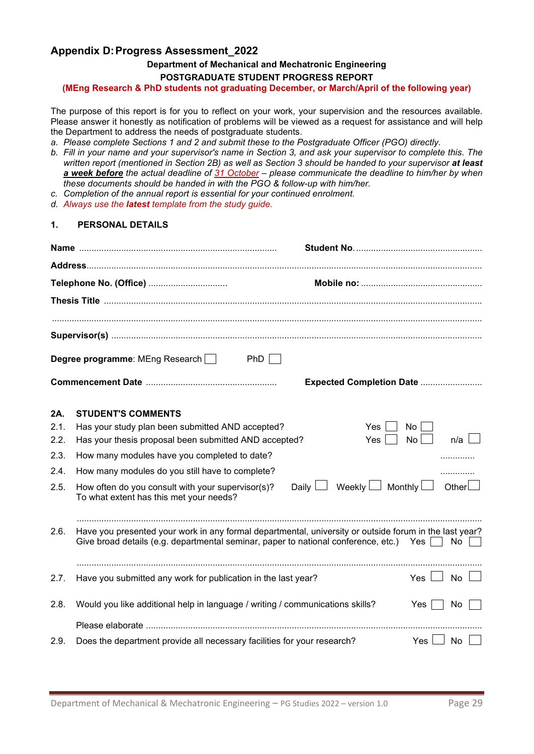# <span id="page-28-0"></span>**Appendix D:Progress Assessment\_2022**

# **Department of Mechanical and Mechatronic Engineering**

**POSTGRADUATE STUDENT PROGRESS REPORT** 

**(MEng Research & PhD students not graduating December, or March/April of the following year)**

The purpose of this report is for you to reflect on your work, your supervision and the resources available. Please answer it honestly as notification of problems will be viewed as a request for assistance and will help the Department to address the needs of postgraduate students.

- *a. Please complete Sections 1 and 2 and submit these to the Postgraduate Officer (PGO) directly.*
- *b. Fill in your name and your supervisor's name in Section 3, and ask your supervisor to complete this. The written report (mentioned in Section 2B) as well as Section 3 should be handed to your supervisor at least a week before the actual deadline of 31 October – please communicate the deadline to him/her by when these documents should be handed in with the PGO & follow-up with him/her.*
- *c. Completion of the annual report is essential for your continued enrolment.*
- *d. Always use the latest template from the study guide.*

### **1. PERSONAL DETAILS**

|      | Telephone No. (Office)                                                                                                                                                                           |                          |           |        |  |  |
|------|--------------------------------------------------------------------------------------------------------------------------------------------------------------------------------------------------|--------------------------|-----------|--------|--|--|
|      |                                                                                                                                                                                                  |                          |           |        |  |  |
|      |                                                                                                                                                                                                  |                          |           |        |  |  |
|      |                                                                                                                                                                                                  |                          |           |        |  |  |
|      | Degree programme: MEng Research<br>PhD                                                                                                                                                           |                          |           |        |  |  |
|      |                                                                                                                                                                                                  | Expected Completion Date |           |        |  |  |
| 2A.  | <b>STUDENT'S COMMENTS</b>                                                                                                                                                                        |                          |           |        |  |  |
| 2.1. | Has your study plan been submitted AND accepted?                                                                                                                                                 | Yes.                     | <b>No</b> |        |  |  |
| 2.2. | Has your thesis proposal been submitted AND accepted?                                                                                                                                            | Yes                      | No        | n/a    |  |  |
| 2.3. | How many modules have you completed to date?                                                                                                                                                     |                          |           |        |  |  |
| 2.4. | How many modules do you still have to complete?                                                                                                                                                  |                          |           | .      |  |  |
| 2.5. | Daily L<br>How often do you consult with your supervisor(s)?<br>To what extent has this met your needs?                                                                                          | Weekly $\Box$ Monthly    |           | Otherl |  |  |
| 2.6. | Have you presented your work in any formal departmental, university or outside forum in the last year?<br>Give broad details (e.g. departmental seminar, paper to national conference, etc.) Yes |                          |           | No.    |  |  |
|      |                                                                                                                                                                                                  |                          |           |        |  |  |
| 2.7. | Have you submitted any work for publication in the last year?                                                                                                                                    |                          | Yes I     | No     |  |  |
|      |                                                                                                                                                                                                  |                          |           |        |  |  |
| 2.8. | Would you like additional help in language / writing / communications skills?                                                                                                                    |                          | Yes       | No     |  |  |
|      |                                                                                                                                                                                                  |                          |           |        |  |  |
| 2.9. | Does the department provide all necessary facilities for your research?                                                                                                                          |                          | Yes I     | No     |  |  |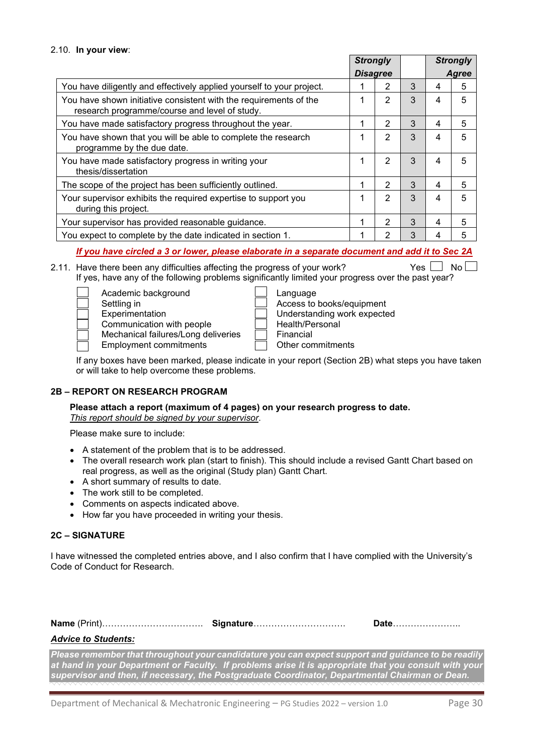|                                                                                                                    | <b>Strongly</b> |                |   |   | <b>Strongly</b> |  |
|--------------------------------------------------------------------------------------------------------------------|-----------------|----------------|---|---|-----------------|--|
|                                                                                                                    | <b>Disagree</b> |                |   |   | Agree           |  |
| You have diligently and effectively applied yourself to your project.                                              |                 | 2              | 3 | 4 | 5               |  |
| You have shown initiative consistent with the requirements of the<br>research programme/course and level of study. | 1               | $\overline{2}$ | 3 | 4 | 5               |  |
| You have made satisfactory progress throughout the year.                                                           | 1               | $\overline{2}$ | 3 | 4 | 5               |  |
| You have shown that you will be able to complete the research<br>programme by the due date.                        | 1               | 2              | 3 | 4 | 5               |  |
| You have made satisfactory progress in writing your<br>thesis/dissertation                                         | 1               | 2              | 3 | 4 | 5               |  |
| The scope of the project has been sufficiently outlined.                                                           | 1               | 2              | 3 | 4 | 5               |  |
| Your supervisor exhibits the required expertise to support you<br>during this project.                             | 1               | 2              | 3 | 4 | 5               |  |
| Your supervisor has provided reasonable guidance.                                                                  | 1               | 2              | 3 | 4 | 5               |  |
| You expect to complete by the date indicated in section 1.                                                         | 1               | 2              | 3 | 4 | 5               |  |

*If you have circled a 3 or lower, please elaborate in a separate document and add it to Sec 2A*

- 2.11. Have there been any difficulties affecting the progress of your work? Yes  $\Box$  No  $\Box$ If yes, have any of the following problems significantly limited your progress over the past year?
	- Academic background<br>Settling in Settling in Access to books/equipment<br>Experimentation Experimentation Contract Contract Contract Contract Contract Contract Contract Contract Contra<br>Contract Contract Contract Contract Contract Contract Contract Contract C Communication with people Health/Personal Mechanical failures/Long deliveries <br>Employment commitments **Financial** Other commitments Employment commitments

| Language                    |
|-----------------------------|
| Access to books/equipment   |
| Understanding work expected |
| Health/Personal             |
| Financial                   |
|                             |

If any boxes have been marked, please indicate in your report (Section 2B) what steps you have taken or will take to help overcome these problems.

#### **2B – REPORT ON RESEARCH PROGRAM**

**Please attach a report (maximum of 4 pages) on your research progress to date.**  *This report should be signed by your supervisor*.

Please make sure to include:

- A statement of the problem that is to be addressed.
- The overall research work plan (start to finish). This should include a revised Gantt Chart based on real progress, as well as the original (Study plan) Gantt Chart.
- A short summary of results to date.
- The work still to be completed.
- Comments on aspects indicated above.
- How far you have proceeded in writing your thesis.

#### **2C – SIGNATURE**

I have witnessed the completed entries above, and I also confirm that I have complied with the University's Code of Conduct for Research.

| Signature | Date |
|-----------|------|
|           |      |

#### *Advice to Students:*

*Please remember that throughout your candidature you can expect support and guidance to be readily at hand in your Department or Faculty. If problems arise it is appropriate that you consult with your supervisor and then, if necessary, the Postgraduate Coordinator, Departmental Chairman or Dean.*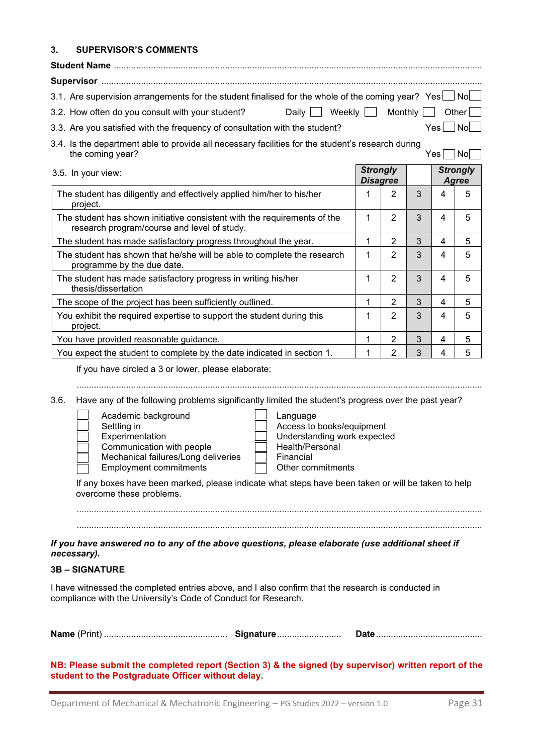#### **3. SUPERVISOR'S COMMENTS**

| 3.1. Are supervision arrangements for the student finalised for the whole of the coming year? Yes   No                |  |                            |                                                   |
|-----------------------------------------------------------------------------------------------------------------------|--|----------------------------|---------------------------------------------------|
| 3.2. How often do you consult with your student?                                                                      |  | Daily Weekly Monthly Other |                                                   |
| 3.3. Are you satisfied with the frequency of consultation with the student?                                           |  | Yesl                       | $\overline{\mathsf{N}}$ o $\overline{\mathsf{N}}$ |
| 3.4. Is the department able to provide all necessary facilities for the student's research during<br>the coming year? |  | $V_{\text{ES}}$            |                                                   |

| 3.5. In your view:                                                                                                      | <b>Strongly</b><br><b>Disagree</b> |                |   |   | <b>Strongly</b><br>Agree |
|-------------------------------------------------------------------------------------------------------------------------|------------------------------------|----------------|---|---|--------------------------|
| The student has diligently and effectively applied him/her to his/her<br>project.                                       |                                    | 2              | 3 | 4 | 5                        |
| The student has shown initiative consistent with the requirements of the<br>research program/course and level of study. | 1                                  | 2              | 3 | 4 | 5                        |
| The student has made satisfactory progress throughout the year.                                                         |                                    | 2              | 3 | 4 | 5                        |
| The student has shown that he/she will be able to complete the research<br>programme by the due date.                   | 1                                  | 2              | 3 | 4 | 5                        |
| The student has made satisfactory progress in writing his/her<br>thesis/dissertation                                    |                                    | $\overline{2}$ | 3 | 4 | 5                        |
| The scope of the project has been sufficiently outlined.                                                                |                                    | 2              | 3 | 4 | 5                        |
| You exhibit the required expertise to support the student during this<br>project.                                       |                                    | $\overline{2}$ | 3 | 4 | 5                        |
| You have provided reasonable guidance.                                                                                  |                                    | 2              | 3 | 4 | 5                        |
| You expect the student to complete by the date indicated in section 1.                                                  |                                    | 2              | 3 | 4 | 5                        |

If you have circled a 3 or lower, please elaborate:

....................................................................................................................................................................

3.6. Have any of the following problems significantly limited the student's progress over the past year?

| Academic background                 |
|-------------------------------------|
| Settling in                         |
| Experimentation                     |
| Communication with people           |
| Mechanical failures/Long deliveries |
| <b>Employment commitments</b>       |

Language

Access to books/equipment Understanding work expected Health/Personal Financial Other commitments

If any boxes have been marked, please indicate what steps have been taken or will be taken to help overcome these problems.

....................................................................................................................................................................

....................................................................................................................................................................

*If you have answered no to any of the above questions, please elaborate (use additional sheet if necessary).*

#### **3B – SIGNATURE**

I have witnessed the completed entries above, and I also confirm that the research is conducted in compliance with the University's Code of Conduct for Research.

| Signature |  |
|-----------|--|
|-----------|--|

**NB: Please submit the completed report (Section 3) & the signed (by supervisor) written report of the student to the Postgraduate Officer without delay.**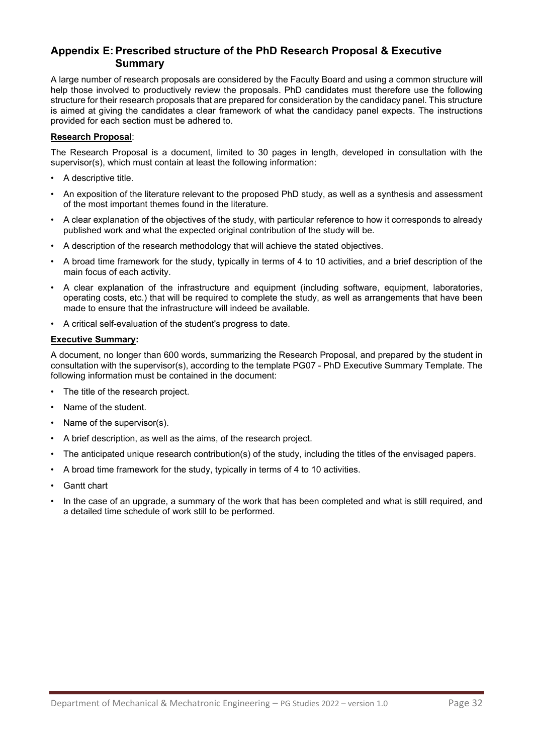# <span id="page-31-0"></span>**Appendix E:Prescribed structure of the PhD Research Proposal & Executive Summary**

A large number of research proposals are considered by the Faculty Board and using a common structure will help those involved to productively review the proposals. PhD candidates must therefore use the following structure for their research proposals that are prepared for consideration by the candidacy panel. This structure is aimed at giving the candidates a clear framework of what the candidacy panel expects. The instructions provided for each section must be adhered to.

#### **Research Proposal**:

The Research Proposal is a document, limited to 30 pages in length, developed in consultation with the supervisor(s), which must contain at least the following information:

- A descriptive title.
- An exposition of the literature relevant to the proposed PhD study, as well as a synthesis and assessment of the most important themes found in the literature.
- A clear explanation of the objectives of the study, with particular reference to how it corresponds to already published work and what the expected original contribution of the study will be.
- A description of the research methodology that will achieve the stated objectives.
- A broad time framework for the study, typically in terms of 4 to 10 activities, and a brief description of the main focus of each activity.
- A clear explanation of the infrastructure and equipment (including software, equipment, laboratories, operating costs, etc.) that will be required to complete the study, as well as arrangements that have been made to ensure that the infrastructure will indeed be available.
- A critical self-evaluation of the student's progress to date.

#### **Executive Summary:**

A document, no longer than 600 words, summarizing the Research Proposal, and prepared by the student in consultation with the supervisor(s), according to the template PG07 - PhD Executive Summary Template. The following information must be contained in the document:

- The title of the research project.
- Name of the student.
- Name of the supervisor(s).
- A brief description, as well as the aims, of the research project.
- The anticipated unique research contribution(s) of the study, including the titles of the envisaged papers.
- A broad time framework for the study, typically in terms of 4 to 10 activities.
- **Gantt chart**
- In the case of an upgrade, a summary of the work that has been completed and what is still required, and a detailed time schedule of work still to be performed.